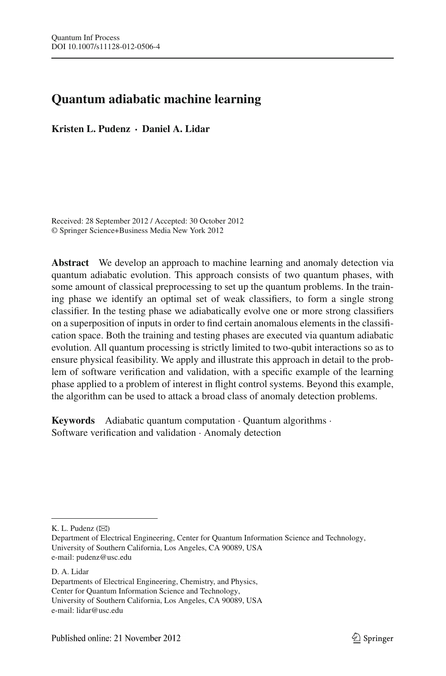# **Quantum adiabatic machine learning**

**Kristen L. Pudenz · Daniel A. Lidar**

Received: 28 September 2012 / Accepted: 30 October 2012 © Springer Science+Business Media New York 2012

**Abstract** We develop an approach to machine learning and anomaly detection via quantum adiabatic evolution. This approach consists of two quantum phases, with some amount of classical preprocessing to set up the quantum problems. In the training phase we identify an optimal set of weak classifiers, to form a single strong classifier. In the testing phase we adiabatically evolve one or more strong classifiers on a superposition of inputs in order to find certain anomalous elements in the classification space. Both the training and testing phases are executed via quantum adiabatic evolution. All quantum processing is strictly limited to two-qubit interactions so as to ensure physical feasibility. We apply and illustrate this approach in detail to the problem of software verification and validation, with a specific example of the learning phase applied to a problem of interest in flight control systems. Beyond this example, the algorithm can be used to attack a broad class of anomaly detection problems.

**Keywords** Adiabatic quantum computation · Quantum algorithms · Software verification and validation · Anomaly detection

K. L. Pudenz  $(\boxtimes)$ 

D. A. Lidar

Department of Electrical Engineering, Center for Quantum Information Science and Technology, University of Southern California, Los Angeles, CA 90089, USA e-mail: pudenz@usc.edu

Departments of Electrical Engineering, Chemistry, and Physics, Center for Quantum Information Science and Technology, University of Southern California, Los Angeles, CA 90089, USA e-mail: lidar@usc.edu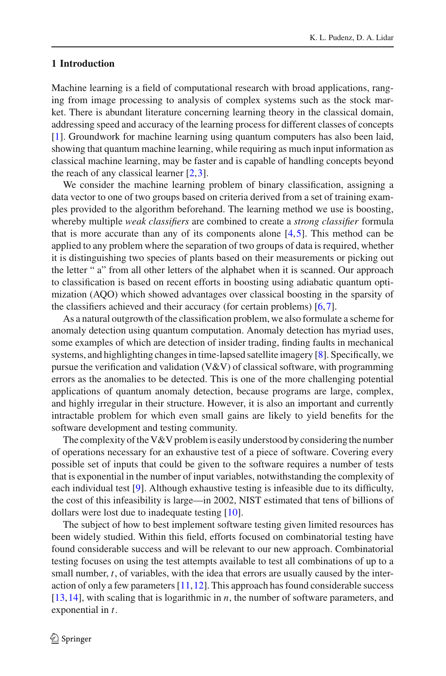# **1 Introduction**

Machine learning is a field of computational research with broad applications, ranging from image processing to analysis of complex systems such as the stock market. There is abundant literature concerning learning theory in the classical domain, addressing speed and accuracy of the learning process for different classes of concepts [\[1](#page-41-0)]. Groundwork for machine learning using quantum computers has also been laid, showing that quantum machine learning, while requiring as much input information as classical machine learning, may be faster and is capable of handling concepts beyond the reach of any classical learner  $[2,3]$  $[2,3]$ .

We consider the machine learning problem of binary classification, assigning a data vector to one of two groups based on criteria derived from a set of training examples provided to the algorithm beforehand. The learning method we use is boosting, whereby multiple *weak classifiers* are combined to create a *strong classifier* formula that is more accurate than any of its components alone  $[4,5]$  $[4,5]$  $[4,5]$ . This method can be applied to any problem where the separation of two groups of data is required, whether it is distinguishing two species of plants based on their measurements or picking out the letter " a" from all other letters of the alphabet when it is scanned. Our approach to classification is based on recent efforts in boosting using adiabatic quantum optimization (AQO) which showed advantages over classical boosting in the sparsity of the classifiers achieved and their accuracy (for certain problems) [\[6](#page-42-2),[7\]](#page-42-3).

As a natural outgrowth of the classification problem, we also formulate a scheme for anomaly detection using quantum computation. Anomaly detection has myriad uses, some examples of which are detection of insider trading, finding faults in mechanical systems, and highlighting changes in time-lapsed satellite imagery [\[8\]](#page-42-4). Specifically, we pursue the verification and validation  $(V&V)$  of classical software, with programming errors as the anomalies to be detected. This is one of the more challenging potential applications of quantum anomaly detection, because programs are large, complex, and highly irregular in their structure. However, it is also an important and currently intractable problem for which even small gains are likely to yield benefits for the software development and testing community.

The complexity of the V&V problem is easily understood by considering the number of operations necessary for an exhaustive test of a piece of software. Covering every possible set of inputs that could be given to the software requires a number of tests that is exponential in the number of input variables, notwithstanding the complexity of each individual test [\[9\]](#page-42-5). Although exhaustive testing is infeasible due to its difficulty, the cost of this infeasibility is large—in 2002, NIST estimated that tens of billions of dollars were lost due to inadequate testing [\[10](#page-42-6)].

The subject of how to best implement software testing given limited resources has been widely studied. Within this field, efforts focused on combinatorial testing have found considerable success and will be relevant to our new approach. Combinatorial testing focuses on using the test attempts available to test all combinations of up to a small number, *t*, of variables, with the idea that errors are usually caused by the interaction of only a few parameters [\[11,](#page-42-7)[12\]](#page-42-8). This approach has found considerable success [\[13](#page-42-9)[,14](#page-42-10)], with scaling that is logarithmic in *n*, the number of software parameters, and exponential in *t*.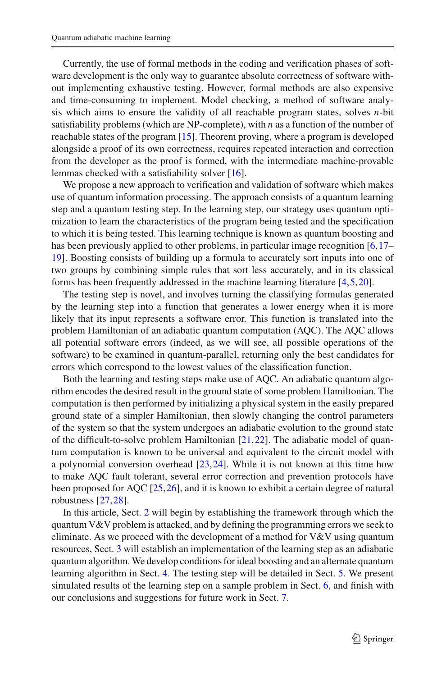Currently, the use of formal methods in the coding and verification phases of software development is the only way to guarantee absolute correctness of software without implementing exhaustive testing. However, formal methods are also expensive and time-consuming to implement. Model checking, a method of software analysis which aims to ensure the validity of all reachable program states, solves *n*-bit satisfiability problems (which are NP-complete), with *n* as a function of the number of reachable states of the program [\[15\]](#page-42-11). Theorem proving, where a program is developed alongside a proof of its own correctness, requires repeated interaction and correction from the developer as the proof is formed, with the intermediate machine-provable lemmas checked with a satisfiability solver [\[16\]](#page-42-12).

We propose a new approach to verification and validation of software which makes use of quantum information processing. The approach consists of a quantum learning step and a quantum testing step. In the learning step, our strategy uses quantum optimization to learn the characteristics of the program being tested and the specification to which it is being tested. This learning technique is known as quantum boosting and has been previously applied to other problems, in particular image recognition [\[6](#page-42-2)[,17](#page-42-13)– [19\]](#page-42-14). Boosting consists of building up a formula to accurately sort inputs into one of two groups by combining simple rules that sort less accurately, and in its classical forms has been frequently addressed in the machine learning literature [\[4](#page-42-0)[,5](#page-42-1)[,20](#page-42-15)].

The testing step is novel, and involves turning the classifying formulas generated by the learning step into a function that generates a lower energy when it is more likely that its input represents a software error. This function is translated into the problem Hamiltonian of an adiabatic quantum computation (AQC). The AQC allows all potential software errors (indeed, as we will see, all possible operations of the software) to be examined in quantum-parallel, returning only the best candidates for errors which correspond to the lowest values of the classification function.

Both the learning and testing steps make use of AQC. An adiabatic quantum algorithm encodes the desired result in the ground state of some problem Hamiltonian. The computation is then performed by initializing a physical system in the easily prepared ground state of a simpler Hamiltonian, then slowly changing the control parameters of the system so that the system undergoes an adiabatic evolution to the ground state of the difficult-to-solve problem Hamiltonian [\[21](#page-42-16)[,22](#page-42-17)]. The adiabatic model of quantum computation is known to be universal and equivalent to the circuit model with a polynomial conversion overhead [\[23,](#page-42-18)[24\]](#page-42-19). While it is not known at this time how to make AQC fault tolerant, several error correction and prevention protocols have been proposed for AQC [\[25](#page-42-20)[,26\]](#page-42-21), and it is known to exhibit a certain degree of natural robustness [\[27](#page-42-22),[28\]](#page-42-23).

In this article, Sect. [2](#page-3-0) will begin by establishing the framework through which the quantum V&V problem is attacked, and by defining the programming errors we seek to eliminate. As we proceed with the development of a method for  $V&V$  using quantum resources, Sect. [3](#page-6-0) will establish an implementation of the learning step as an adiabatic quantum algorithm. We develop conditions for ideal boosting and an alternate quantum learning algorithm in Sect. [4.](#page-13-0) The testing step will be detailed in Sect. [5.](#page-24-0) We present simulated results of the learning step on a sample problem in Sect. [6,](#page-32-0) and finish with our conclusions and suggestions for future work in Sect. [7.](#page-41-3)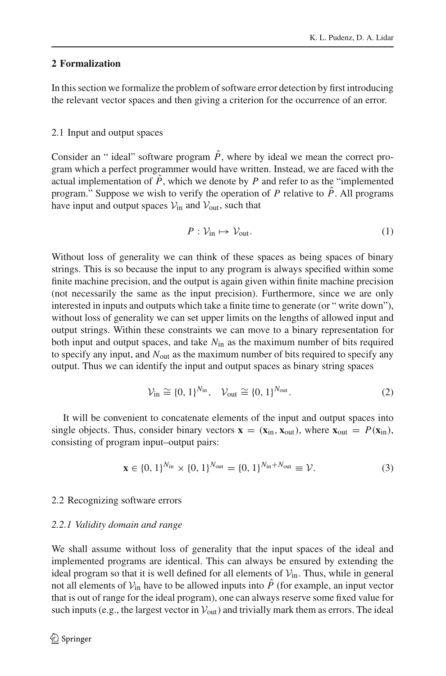# <span id="page-3-0"></span>**2 Formalization**

In this section we formalize the problem of software error detection by first introducing the relevant vector spaces and then giving a criterion for the occurrence of an error.

#### 2.1 Input and output spaces

Consider an " ideal" software program  $\hat{P}$ , where by ideal we mean the correct program which a perfect programmer would have written. Instead, we are faced with the actual implementation of  $\hat{P}$ , which we denote by  $P$  and refer to as the "implemented" program." Suppose we wish to verify the operation of *P* relative to  $\hat{P}$ . All programs have input and output spaces  $V_{in}$  and  $V_{out}$ , such that

$$
P: \mathcal{V}_{\text{in}} \mapsto \mathcal{V}_{\text{out}}.\tag{1}
$$

Without loss of generality we can think of these spaces as being spaces of binary strings. This is so because the input to any program is always specified within some finite machine precision, and the output is again given within finite machine precision (not necessarily the same as the input precision). Furthermore, since we are only interested in inputs and outputs which take a finite time to generate (or " write down"), without loss of generality we can set upper limits on the lengths of allowed input and output strings. Within these constraints we can move to a binary representation for both input and output spaces, and take *N*in as the maximum number of bits required to specify any input, and *N*out as the maximum number of bits required to specify any output. Thus we can identify the input and output spaces as binary string spaces

$$
\mathcal{V}_{\text{in}} \cong \{0, 1\}^{N_{\text{in}}}, \quad \mathcal{V}_{\text{out}} \cong \{0, 1\}^{N_{\text{out}}}.
$$
 (2)

It will be convenient to concatenate elements of the input and output spaces into single objects. Thus, consider binary vectors  $\mathbf{x} = (\mathbf{x}_{in}, \mathbf{x}_{out})$ , where  $\mathbf{x}_{out} = P(\mathbf{x}_{in})$ , consisting of program input–output pairs:

$$
\mathbf{x} \in \{0, 1\}^{N_{\text{in}}} \times \{0, 1\}^{N_{\text{out}}} = \{0, 1\}^{N_{\text{in}} + N_{\text{out}}} \equiv \mathcal{V}.
$$
 (3)

#### 2.2 Recognizing software errors

#### *2.2.1 Validity domain and range*

We shall assume without loss of generality that the input spaces of the ideal and implemented programs are identical. This can always be ensured by extending the ideal program so that it is well defined for all elements of  $V_{in}$ . Thus, while in general not all elements of  $V_{in}$  have to be allowed inputs into  $\hat{P}$  (for example, an input vector that is out of range for the ideal program), one can always reserve some fixed value for such inputs (e.g., the largest vector in  $V_{\text{out}}$ ) and trivially mark them as errors. The ideal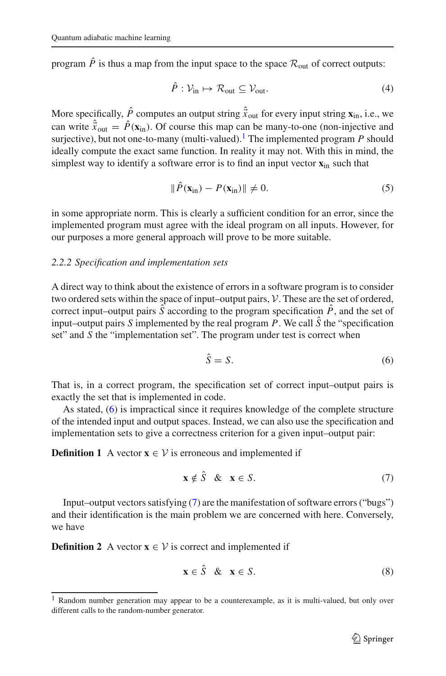program  $\hat{P}$  is thus a map from the input space to the space  $\mathcal{R}_{out}$  of correct outputs:

$$
\hat{P}: \mathcal{V}_{\text{in}} \mapsto \mathcal{R}_{\text{out}} \subseteq \mathcal{V}_{\text{out}}.\tag{4}
$$

<span id="page-4-7"></span>More specifically,  $\hat{P}$  computes an output string  $\hat{x}_{out}$  for every input string  $\mathbf{x}_{in}$ , i.e., we can write  $\hat{\vec{x}}_{out} = \hat{P}(\mathbf{x}_{in})$ . Of course this map can be many-to-one (non-injective and surjective), but not one-to-many (multi-valued).<sup>1</sup> The implemented program *P* should ideally compute the exact same function. In reality it may not. With this in mind, the simplest way to identify a software error is to find an input vector  $\mathbf{x}_{in}$  such that

$$
\|\hat{P}(\mathbf{x}_{\text{in}}) - P(\mathbf{x}_{\text{in}})\| \neq 0. \tag{5}
$$

<span id="page-4-5"></span>in some appropriate norm. This is clearly a sufficient condition for an error, since the implemented program must agree with the ideal program on all inputs. However, for our purposes a more general approach will prove to be more suitable.

#### <span id="page-4-8"></span>*2.2.2 Specification and implementation sets*

A direct way to think about the existence of errors in a software program is to consider two ordered sets within the space of input–output pairs, *V*. These are the set of ordered, correct input–output pairs  $\hat{S}$  according to the program specification  $\hat{P}$ , and the set of input–output pairs *S* implemented by the real program  $P$ . We call  $\hat{S}$  the "specification set" and *S* the "implementation set". The program under test is correct when

<span id="page-4-4"></span><span id="page-4-1"></span>
$$
\hat{S} = S. \tag{6}
$$

That is, in a correct program, the specification set of correct input–output pairs is exactly the set that is implemented in code.

As stated, [\(6\)](#page-4-1) is impractical since it requires knowledge of the complete structure of the intended input and output spaces. Instead, we can also use the specification and implementation sets to give a correctness criterion for a given input–output pair:

**Definition 1** A vector  $\mathbf{x} \in \mathcal{V}$  is erroneous and implemented if

$$
\mathbf{x} \notin \hat{S} \quad \& \quad \mathbf{x} \in S. \tag{7}
$$

<span id="page-4-2"></span>Input–output vectors satisfying [\(7\)](#page-4-2) are the manifestation of software errors ("bugs") and their identification is the main problem we are concerned with here. Conversely, we have

<span id="page-4-6"></span><span id="page-4-3"></span>**Definition 2** A vector  $\mathbf{x} \in \mathcal{V}$  is correct and implemented if

$$
\mathbf{x} \in \hat{S} \quad \& \quad \mathbf{x} \in S. \tag{8}
$$

<span id="page-4-0"></span><sup>&</sup>lt;sup>1</sup> Random number generation may appear to be a counterexample, as it is multi-valued, but only over different calls to the random-number generator.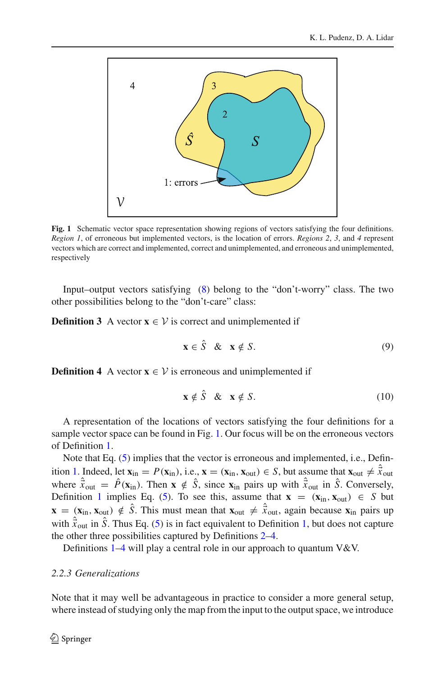

<span id="page-5-0"></span>**Fig. 1** Schematic vector space representation showing regions of vectors satisfying the four definitions. *Region 1*, of erroneous but implemented vectors, is the location of errors. *Regions 2*, *3*, and *4* represent vectors which are correct and implemented, correct and unimplemented, and erroneous and unimplemented, respectively

Input–output vectors satisfying [\(8\)](#page-4-3) belong to the "don't-worry" class. The two other possibilities belong to the "don't-care" class:

**Definition 3** A vector  $\mathbf{x} \in \mathcal{V}$  is correct and unimplemented if

$$
\mathbf{x} \in \hat{S} \quad \& \quad \mathbf{x} \notin S. \tag{9}
$$

<span id="page-5-1"></span>**Definition 4** A vector  $\mathbf{x} \in \mathcal{V}$  is erroneous and unimplemented if

$$
\mathbf{x} \notin \hat{S} \quad \& \quad \mathbf{x} \notin S. \tag{10}
$$

A representation of the locations of vectors satisfying the four definitions for a sample vector space can be found in Fig. [1.](#page-5-0) Our focus will be on the erroneous vectors of Definition [1.](#page-4-4)

Note that Eq. [\(5\)](#page-4-5) implies that the vector is erroneous and implemented, i.e., Defin-ition [1.](#page-4-4) Indeed, let  $\mathbf{x}_{in} = P(\mathbf{x}_{in})$ , i.e.,  $\mathbf{x} = (\mathbf{x}_{in}, \mathbf{x}_{out}) \in S$ , but assume that  $\mathbf{x}_{out} \neq \hat{\vec{x}}_{out}$ where  $\hat{\vec{x}}_{out} = \hat{P}(\vec{x}_{in})$ . Then  $\vec{x} \notin \hat{S}$ , since  $\vec{x}_{in}$  pairs up with  $\hat{\vec{x}}_{out}$  in  $\hat{S}$ . Conversely, Definition [1](#page-4-4) implies Eq. [\(5\)](#page-4-5). To see this, assume that  $\mathbf{x} = (\mathbf{x}_{in}, \mathbf{x}_{out}) \in S$  but  $\mathbf{x} = (\mathbf{x}_{in}, \mathbf{x}_{out}) \notin \hat{S}$ . This must mean that  $\mathbf{x}_{out} \neq \hat{\vec{x}}_{out}$ , again because  $\mathbf{x}_{in}$  pairs up with  $\hat{\vec{x}}_{out}$  in  $\hat{S}$ . Thus Eq. [\(5\)](#page-4-5) is in fact equivalent to Definition [1,](#page-4-4) but does not capture the other three possibilities captured by Definitions [2–](#page-4-6)[4.](#page-5-1)

Definitions [1–](#page-4-4)[4](#page-5-1) will play a central role in our approach to quantum V&V.

#### *2.2.3 Generalizations*

Note that it may well be advantageous in practice to consider a more general setup, where instead of studying only the map from the input to the output space, we introduce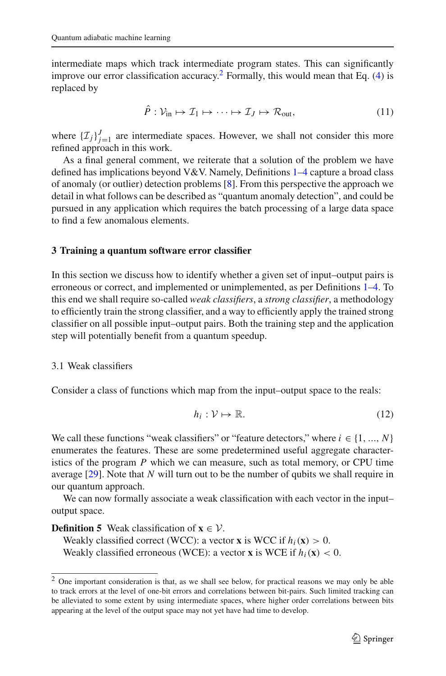intermediate maps which track intermediate program states. This can significantly improve our error classification accuracy.<sup>2</sup> Formally, this would mean that Eq. [\(4\)](#page-4-7) is replaced by

$$
\hat{P}: \mathcal{V}_{\text{in}} \mapsto \mathcal{I}_1 \mapsto \cdots \mapsto \mathcal{I}_J \mapsto \mathcal{R}_{\text{out}},\tag{11}
$$

<span id="page-6-3"></span>where  ${\{\mathcal{I}_j\}}_{j=1}^J$  are intermediate spaces. However, we shall not consider this more refined approach in this work.

As a final general comment, we reiterate that a solution of the problem we have defined has implications beyond V&V. Namely, Definitions [1](#page-4-4)[–4](#page-5-1) capture a broad class of anomaly (or outlier) detection problems [\[8\]](#page-42-4). From this perspective the approach we detail in what follows can be described as "quantum anomaly detection", and could be pursued in any application which requires the batch processing of a large data space to find a few anomalous elements.

# <span id="page-6-0"></span>**3 Training a quantum software error classifier**

In this section we discuss how to identify whether a given set of input–output pairs is erroneous or correct, and implemented or unimplemented, as per Definitions [1–](#page-4-4)[4.](#page-5-1) To this end we shall require so-called *weak classifiers*, a *strong classifier*, a methodology to efficiently train the strong classifier, and a way to efficiently apply the trained strong classifier on all possible input–output pairs. Both the training step and the application step will potentially benefit from a quantum speedup.

#### 3.1 Weak classifiers

Consider a class of functions which map from the input–output space to the reals:

$$
h_i: \mathcal{V} \mapsto \mathbb{R}.\tag{12}
$$

We call these functions "weak classifiers" or "feature detectors," where  $i \in \{1, ..., N\}$ enumerates the features. These are some predetermined useful aggregate characteristics of the program *P* which we can measure, such as total memory, or CPU time average [\[29](#page-42-24)]. Note that *N* will turn out to be the number of qubits we shall require in our quantum approach.

We can now formally associate a weak classification with each vector in the input– output space.

<span id="page-6-2"></span>**Definition 5** Weak classification of  $\mathbf{x} \in \mathcal{V}$ .

Weakly classified correct (WCC): a vector **x** is WCC if  $h_i(\mathbf{x}) > 0$ .

Weakly classified erroneous (WCE): a vector **x** is WCE if  $h_i(\mathbf{x}) < 0$ .

<span id="page-6-1"></span><sup>&</sup>lt;sup>2</sup> One important consideration is that, as we shall see below, for practical reasons we may only be able to track errors at the level of one-bit errors and correlations between bit-pairs. Such limited tracking can be alleviated to some extent by using intermediate spaces, where higher order correlations between bits appearing at the level of the output space may not yet have had time to develop.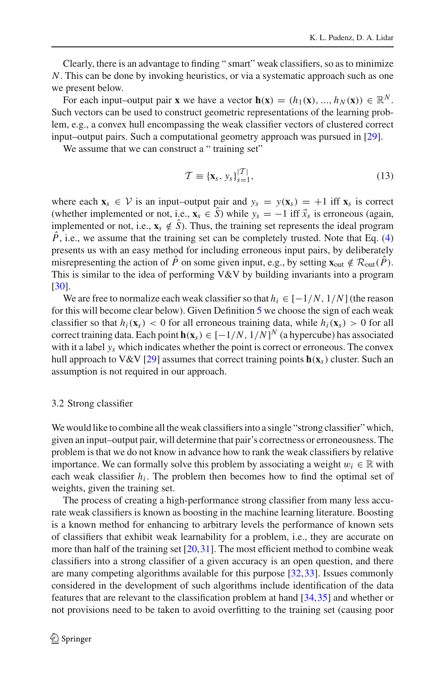Clearly, there is an advantage to finding " smart" weak classifiers, so as to minimize *N*. This can be done by invoking heuristics, or via a systematic approach such as one we present below.

For each input–output pair **x** we have a vector  $h(x) = (h_1(x), ..., h_N(x)) \in \mathbb{R}^N$ . Such vectors can be used to construct geometric representations of the learning problem, e.g., a convex hull encompassing the weak classifier vectors of clustered correct input–output pairs. Such a computational geometry approach was pursued in [\[29\]](#page-42-24).

<span id="page-7-0"></span>We assume that we can construct a "training set"

$$
\mathcal{T} \equiv \{\mathbf{x}_s, y_s\}_{s=1}^{|\mathcal{T}|},\tag{13}
$$

where each  $\mathbf{x}_s \in \mathcal{V}$  is an input–output pair and  $y_s = y(\mathbf{x}_s) = +1$  iff  $\mathbf{x}_s$  is correct (whether implemented or not, i.e.,  $\mathbf{x}_s \in \hat{S}$ ) while  $y_s = -1$  iff  $\vec{x}_s$  is erroneous (again, implemented or not, i.e.,  $\mathbf{x}_s \notin \hat{S}$ ). Thus, the training set represents the ideal program  $\hat{P}$ , i.e., we assume that the training set can be completely trusted. Note that Eq. [\(4\)](#page-4-7) presents us with an easy method for including erroneous input pairs, by deliberately misrepresenting the action of  $\hat{P}$  on some given input, e.g., by setting  $\mathbf{x}_{out} \notin \mathcal{R}_{out}(\hat{P})$ . This is similar to the idea of performing V&V by building invariants into a program [\[30](#page-42-25)].

We are free to normalize each weak classifier so that  $h_i \in [-1/N, 1/N]$  (the reason for this will become clear below). Given Definition [5](#page-6-2) we choose the sign of each weak classifier so that  $h_i(\mathbf{x}_s) < 0$  for all erroneous training data, while  $h_i(\mathbf{x}_s) > 0$  for all correct training data. Each point  $h(x_s) \in [-1/N, 1/N]^N$  (a hypercube) has associated with it a label *ys* which indicates whether the point is correct or erroneous. The convex hull approach to V&V [\[29\]](#page-42-24) assumes that correct training points  $h(x_s)$  cluster. Such an assumption is not required in our approach.

#### 3.2 Strong classifier

We would like to combine all the weak classifiers into a single "strong classifier" which, given an input–output pair, will determine that pair's correctness or erroneousness. The problem is that we do not know in advance how to rank the weak classifiers by relative importance. We can formally solve this problem by associating a weight  $w_i \in \mathbb{R}$  with each weak classifier  $h_i$ . The problem then becomes how to find the optimal set of weights, given the training set.

The process of creating a high-performance strong classifier from many less accurate weak classifiers is known as boosting in the machine learning literature. Boosting is a known method for enhancing to arbitrary levels the performance of known sets of classifiers that exhibit weak learnability for a problem, i.e., they are accurate on more than half of the training set  $[20,31]$  $[20,31]$  $[20,31]$ . The most efficient method to combine weak classifiers into a strong classifier of a given accuracy is an open question, and there are many competing algorithms available for this purpose [\[32](#page-43-1)[,33](#page-43-2)]. Issues commonly considered in the development of such algorithms include identification of the data features that are relevant to the classification problem at hand [\[34,](#page-43-3)[35\]](#page-43-4) and whether or not provisions need to be taken to avoid overfitting to the training set (causing poor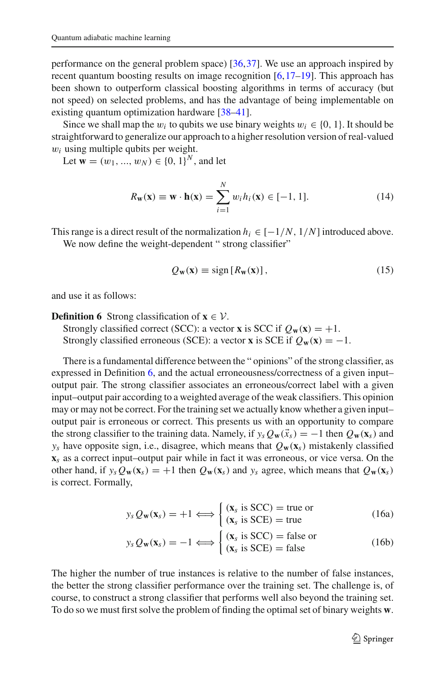performance on the general problem space) [\[36,](#page-43-5)[37\]](#page-43-6). We use an approach inspired by recent quantum boosting results on image recognition [\[6](#page-42-2)[,17](#page-42-13)[–19](#page-42-14)]. This approach has been shown to outperform classical boosting algorithms in terms of accuracy (but not speed) on selected problems, and has the advantage of being implementable on existing quantum optimization hardware [\[38](#page-43-7)[–41\]](#page-43-8).

Since we shall map the  $w_i$  to qubits we use binary weights  $w_i \in \{0, 1\}$ . It should be straightforward to generalize our approach to a higher resolution version of real-valued w*i* using multiple qubits per weight.

<span id="page-8-3"></span>Let  $\mathbf{w} = (w_1, ..., w_N) \in \{0, 1\}^N$ , and let

$$
R_{\mathbf{w}}(\mathbf{x}) \equiv \mathbf{w} \cdot \mathbf{h}(\mathbf{x}) = \sum_{i=1}^{N} w_i h_i(\mathbf{x}) \in [-1, 1].
$$
 (14)

This range is a direct result of the normalization  $h_i \in [-1/N, 1/N]$  introduced above.

<span id="page-8-1"></span>We now define the weight-dependent " strong classifier"

$$
Q_{\mathbf{w}}(\mathbf{x}) \equiv \text{sign}\left[R_{\mathbf{w}}(\mathbf{x})\right],\tag{15}
$$

<span id="page-8-0"></span>and use it as follows:

**Definition 6** Strong classification of  $\mathbf{x} \in \mathcal{V}$ .

Strongly classified correct (SCC): a vector **x** is SCC if  $Q_w(\mathbf{x}) = +1$ . Strongly classified erroneous (SCE): a vector **x** is SCE if  $Q_w(\mathbf{x}) = -1$ .

There is a fundamental difference between the " opinions" of the strong classifier, as expressed in Definition [6,](#page-8-0) and the actual erroneousness/correctness of a given input– output pair. The strong classifier associates an erroneous/correct label with a given input–output pair according to a weighted average of the weak classifiers. This opinion may or may not be correct. For the training set we actually know whether a given input– output pair is erroneous or correct. This presents us with an opportunity to compare the strong classifier to the training data. Namely, if  $y_s Q_w(\vec{x}_s) = -1$  then  $Q_w(\mathbf{x}_s)$  and  $y_s$  have opposite sign, i.e., disagree, which means that  $Q_w(\mathbf{x}_s)$  mistakenly classified **x***<sup>s</sup>* as a correct input–output pair while in fact it was erroneous, or vice versa. On the other hand, if  $y_s Q_w(\mathbf{x}_s) = +1$  then  $Q_w(\mathbf{x}_s)$  and  $y_s$  agree, which means that  $Q_w(\mathbf{x}_s)$ is correct. Formally,

<span id="page-8-2"></span>
$$
y_s Q_{\mathbf{w}}(\mathbf{x}_s) = +1 \Longleftrightarrow \begin{cases} (\mathbf{x}_s \text{ is SCC}) = \text{true or} \\ (\mathbf{x}_s \text{ is SCE}) = \text{true} \end{cases}
$$
 (16a)

$$
y_s Q_{\mathbf{w}}(\mathbf{x}_s) = -1 \Longleftrightarrow \begin{cases} (\mathbf{x}_s \text{ is SCC}) = \text{false or} \\ (\mathbf{x}_s \text{ is SCE}) = \text{false} \end{cases} \tag{16b}
$$

The higher the number of true instances is relative to the number of false instances, the better the strong classifier performance over the training set. The challenge is, of course, to construct a strong classifier that performs well also beyond the training set. To do so we must first solve the problem of finding the optimal set of binary weights **w**.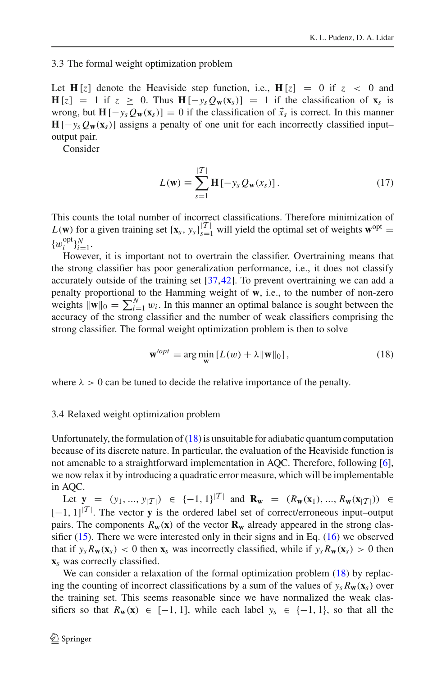#### 3.3 The formal weight optimization problem

Let  $\mathbf{H}[z]$  denote the Heaviside step function, i.e.,  $\mathbf{H}[z] = 0$  if  $z < 0$  and  $H[z] = 1$  if  $z > 0$ . Thus  $H[-y, \theta_w(\mathbf{x}_s)] = 1$  if the classification of  $\mathbf{x}_s$  is wrong, but  $\mathbf{H}[-y_s Q_{\mathbf{w}}(\mathbf{x}_s)] = 0$  if the classification of  $\vec{x}_s$  is correct. In this manner **H**  $[-y_s Q_w(\mathbf{x}_s)]$  assigns a penalty of one unit for each incorrectly classified input– output pair.

<span id="page-9-2"></span>Consider

$$
L(\mathbf{w}) \equiv \sum_{s=1}^{|T|} \mathbf{H} \left[ -y_s Q_{\mathbf{w}}(x_s) \right]. \tag{17}
$$

This counts the total number of incorrect classifications. Therefore minimization of  $L(\mathbf{w})$  for a given training set { $\mathbf{x}_s$ ,  $y_s$ }<sup>[T</sup>] will yield the optimal set of weights  $\mathbf{w}^{\text{opt}} =$  $\{w_i^{\text{opt}}\}_{i=1}^N$ .

However, it is important not to overtrain the classifier. Overtraining means that the strong classifier has poor generalization performance, i.e., it does not classify accurately outside of the training set [\[37](#page-43-6)[,42](#page-43-9)]. To prevent overtraining we can add a penalty proportional to the Hamming weight of **w**, i.e., to the number of non-zero weights  $\|\mathbf{w}\|_0 = \sum_{i=1}^N w_i$ . In this manner an optimal balance is sought between the accuracy of the strong classifier and the number of weak classifiers comprising the strong classifier. The formal weight optimization problem is then to solve

$$
\mathbf{w}^{\text{opt}} = \arg\min_{\mathbf{w}} \left[ L(w) + \lambda \|\mathbf{w}\|_0 \right],\tag{18}
$$

<span id="page-9-0"></span>where  $\lambda > 0$  can be tuned to decide the relative importance of the penalty.

#### <span id="page-9-1"></span>3.4 Relaxed weight optimization problem

Unfortunately, the formulation of  $(18)$  is unsuitable for adiabatic quantum computation because of its discrete nature. In particular, the evaluation of the Heaviside function is not amenable to a straightforward implementation in AQC. Therefore, following [\[6](#page-42-2)], we now relax it by introducing a quadratic error measure, which will be implementable in AQC.

Let **y** =  $(y_1, ..., y_{|\mathcal{T}|}) \in \{-1, 1\}^{|\mathcal{T}|}$  and  $\mathbf{R}_w = (R_w(\mathbf{x}_1), ..., R_w(\mathbf{x}_{|\mathcal{T}|})) \in$  $[-1, 1]^{|\mathcal{T}|}$ . The vector **y** is the ordered label set of correct/erroneous input–output pairs. The components  $R_w(x)$  of the vector  $\mathbf{R}_w$  already appeared in the strong classifier  $(15)$ . There we were interested only in their signs and in Eq.  $(16)$  we observed that if  $y_s R_w(\mathbf{x}_s) < 0$  then  $\mathbf{x}_s$  was incorrectly classified, while if  $y_s R_w(\mathbf{x}_s) > 0$  then **x***<sup>s</sup>* was correctly classified.

We can consider a relaxation of the formal optimization problem  $(18)$  by replacing the counting of incorrect classifications by a sum of the values of  $y_s R_w(\mathbf{x}_s)$  over the training set. This seems reasonable since we have normalized the weak classifiers so that  $R_w(\mathbf{x}) \in [-1, 1]$ , while each label  $y_s \in \{-1, 1\}$ , so that all the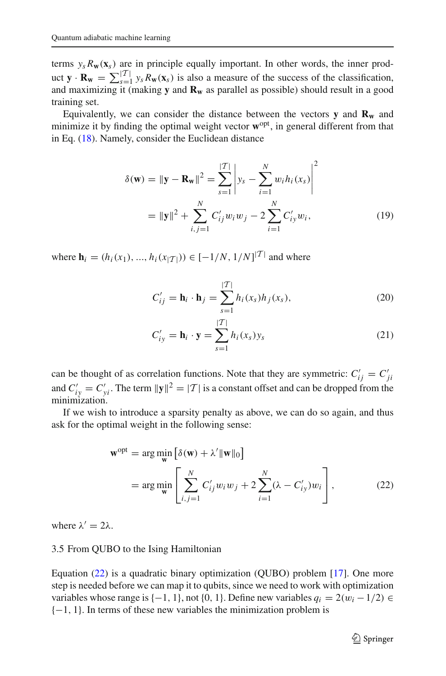terms  $y_s R_w(\mathbf{x}_s)$  are in principle equally important. In other words, the inner product  $\mathbf{y} \cdot \mathbf{R_w} = \sum_{s=1}^{\mathcal{|T|}} y_s R_w(\mathbf{x}_s)$  is also a measure of the success of the classification, and maximizing it (making **y** and  $\mathbf{R_w}$  as parallel as possible) should result in a good training set.

Equivalently, we can consider the distance between the vectors  $y$  and  $\mathbf{R_w}$  and minimize it by finding the optimal weight vector **w**opt, in general different from that in Eq. [\(18\)](#page-9-0). Namely, consider the Euclidean distance

$$
\delta(\mathbf{w}) = \|\mathbf{y} - \mathbf{R}_{\mathbf{w}}\|^2 = \sum_{s=1}^{|T|} \left| y_s - \sum_{i=1}^N w_i h_i(x_s) \right|^2
$$
  
=  $\|\mathbf{y}\|^2 + \sum_{i,j=1}^N C'_{ij} w_i w_j - 2 \sum_{i=1}^N C'_{ij} w_i,$  (19)

where  $\mathbf{h}_i = (h_i(x_1), ..., h_i(x_{|\mathcal{T}|})) \in [-1/N, 1/N]^{|\mathcal{T}|}$  and where

$$
C'_{ij} = \mathbf{h}_i \cdot \mathbf{h}_j = \sum_{s=1}^{|T|} h_i(x_s) h_j(x_s), \qquad (20)
$$

$$
C'_{iy} = \mathbf{h}_i \cdot \mathbf{y} = \sum_{s=1}^{|T|} h_i(x_s) y_s
$$
 (21)

can be thought of as correlation functions. Note that they are symmetric:  $C'_{ij} = C'_{ji}$ and  $C'_{iy} = C'_{yi}$ . The term  $||y||^2 = |T|$  is a constant offset and can be dropped from the minimization.

<span id="page-10-0"></span>If we wish to introduce a sparsity penalty as above, we can do so again, and thus ask for the optimal weight in the following sense:

$$
\mathbf{w}^{\text{opt}} = \arg\min_{\mathbf{w}} \left[ \delta(\mathbf{w}) + \lambda' \|\mathbf{w}\|_0 \right]
$$
  
= 
$$
\arg\min_{\mathbf{w}} \left[ \sum_{i,j=1}^N C'_{ij} w_i w_j + 2 \sum_{i=1}^N (\lambda - C'_{iy}) w_i \right],
$$
 (22)

<span id="page-10-1"></span>where  $\lambda' = 2\lambda$ .

#### 3.5 From QUBO to the Ising Hamiltonian

Equation [\(22\)](#page-10-0) is a quadratic binary optimization (QUBO) problem [\[17\]](#page-42-13). One more step is needed before we can map it to qubits, since we need to work with optimization variables whose range is  $\{-1, 1\}$ , not  $\{0, 1\}$ . Define new variables  $q_i = 2(w_i - 1/2)$  ∈  $\{-1, 1\}$ . In terms of these new variables the minimization problem is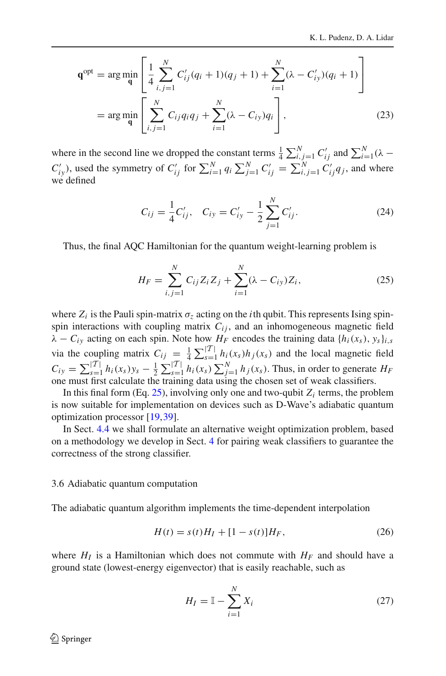<span id="page-11-1"></span>
$$
\mathbf{q}^{\text{opt}} = \arg \min_{\mathbf{q}} \left[ \frac{1}{4} \sum_{i,j=1}^{N} C'_{ij} (q_i + 1)(q_j + 1) + \sum_{i=1}^{N} (\lambda - C'_{iy})(q_i + 1) \right]
$$
  
= 
$$
\arg \min_{\mathbf{q}} \left[ \sum_{i,j=1}^{N} C_{ij} q_i q_j + \sum_{i=1}^{N} (\lambda - C_{iy}) q_i \right],
$$
 (23)

where in the second line we dropped the constant terms  $\frac{1}{4} \sum_{i,j=1}^{N} C'_{ij}$  and  $\sum_{i=1}^{N} (\lambda C'_{ij}$ , used the symmetry of  $C'_{ij}$  for  $\sum_{i=1}^{N} q_i \sum_{j=1}^{N} C'_{ij} = \sum_{i,j=1}^{N} C'_{ij} q_j$ , and where we defined

$$
C_{ij} = \frac{1}{4}C'_{ij}, \quad C_{iy} = C'_{iy} - \frac{1}{2}\sum_{j=1}^{N}C'_{ij}.
$$
 (24)

<span id="page-11-0"></span>Thus, the final AQC Hamiltonian for the quantum weight-learning problem is

$$
H_F = \sum_{i,j=1}^{N} C_{ij} Z_i Z_j + \sum_{i=1}^{N} (\lambda - C_{iy}) Z_i,
$$
 (25)

where  $Z_i$  is the Pauli spin-matrix  $\sigma_z$  acting on the *i*th qubit. This represents Ising spinspin interactions with coupling matrix  $C_{ij}$ , and an inhomogeneous magnetic field  $\lambda - C_i$  acting on each spin. Note how  $H_F$  encodes the training data  $\{h_i(x_s), y_s\}_{i,s}$ via the coupling matrix  $C_{ij} = \frac{1}{4} \sum_{s=1}^{|T|} h_i(x_s) h_j(x_s)$  and the local magnetic field  $C_{iy} = \sum_{s=1}^{|T|} h_i(x_s) y_s - \frac{1}{2} \sum_{s=1}^{|T|} h_i(x_s) \sum_{j=1}^{N} h_j(x_s)$ . Thus, in order to generate *H<sub>F</sub>* one must first calculate the training data using the chosen set of weak classifiers.

In this final form (Eq.  $25$ ), involving only one and two-qubit  $Z_i$  terms, the problem is now suitable for implementation on devices such as D-Wave's adiabatic quantum optimization processor [\[19,](#page-42-14)[39\]](#page-43-10).

In Sect. [4.4](#page-23-0) we shall formulate an alternative weight optimization problem, based on a methodology we develop in Sect. [4](#page-13-0) for pairing weak classifiers to guarantee the correctness of the strong classifier.

#### 3.6 Adiabatic quantum computation

<span id="page-11-2"></span>The adiabatic quantum algorithm implements the time-dependent interpolation

$$
H(t) = s(t)HI + [1 - s(t)]HF, \t(26)
$$

<span id="page-11-3"></span>where  $H_I$  is a Hamiltonian which does not commute with  $H_F$  and should have a ground state (lowest-energy eigenvector) that is easily reachable, such as

$$
H_I = \mathbb{I} - \sum_{i=1}^{N} X_i
$$
\n
$$
(27)
$$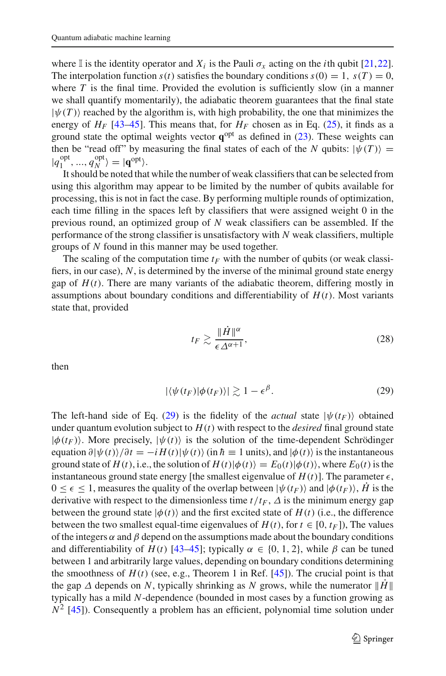where I is the identity operator and  $X_i$  is the Pauli  $\sigma_x$  acting on the *i*th qubit [\[21](#page-42-16)[,22](#page-42-17)]. The interpolation function  $s(t)$  satisfies the boundary conditions  $s(0) = 1$ ,  $s(T) = 0$ , where  $T$  is the final time. Provided the evolution is sufficiently slow (in a manner we shall quantify momentarily), the adiabatic theorem guarantees that the final state  $|\psi(T)\rangle$  reached by the algorithm is, with high probability, the one that minimizes the energy of  $H_F$  [\[43](#page-43-11)[–45\]](#page-43-12). This means that, for  $H_F$  chosen as in Eq. [\(25\)](#page-11-0), it finds as a ground state the optimal weights vector  $\mathbf{q}^{\text{opt}}$  as defined in [\(23\)](#page-11-1). These weights can then be "read off" by measuring the final states of each of the *N* qubits:  $|\psi(T)\rangle$  =  $|q_1^{\text{opt}}, ..., q_N^{\text{opt}}\rangle = |\mathbf{q}^{\text{opt}}\rangle.$ 

It should be noted that while the number of weak classifiers that can be selected from using this algorithm may appear to be limited by the number of qubits available for processing, this is not in fact the case. By performing multiple rounds of optimization, each time filling in the spaces left by classifiers that were assigned weight 0 in the previous round, an optimized group of *N* weak classifiers can be assembled. If the performance of the strong classifier is unsatisfactory with *N* weak classifiers, multiple groups of *N* found in this manner may be used together.

The scaling of the computation time  $t_F$  with the number of qubits (or weak classifiers, in our case), *N*, is determined by the inverse of the minimal ground state energy gap of  $H(t)$ . There are many variants of the adiabatic theorem, differing mostly in assumptions about boundary conditions and differentiability of  $H(t)$ . Most variants state that, provided

$$
t_F \gtrsim \frac{\|\dot{H}\|^\alpha}{\epsilon \Delta^{\alpha+1}},\tag{28}
$$

<span id="page-12-0"></span>then

$$
|\langle \psi(t_F) | \phi(t_F) \rangle| \gtrsim 1 - \epsilon^{\beta}.
$$
 (29)

The left-hand side of Eq. [\(29\)](#page-12-0) is the fidelity of the *actual* state  $|\psi(t_F)\rangle$  obtained under quantum evolution subject to  $H(t)$  with respect to the *desired* final ground state  $|\phi(t_F)\rangle$ . More precisely,  $|\psi(t)\rangle$  is the solution of the time-dependent Schrödinger equation  $\partial |\psi(t)\rangle / \partial t = -i H(t) |\psi(t)\rangle$  (in  $\hbar \equiv 1$  units), and  $|\phi(t)\rangle$  is the instantaneous ground state of  $H(t)$ , i.e., the solution of  $H(t)|\phi(t)\rangle = E_0(t)|\phi(t)\rangle$ , where  $E_0(t)$  is the instantaneous ground state energy [the smallest eigenvalue of  $H(t)$ ]. The parameter  $\epsilon$ ,  $0 \le \epsilon \le 1$ , measures the quality of the overlap between  $|\psi(t_F)\rangle$  and  $|\phi(t_F)\rangle$ , *H* is the derivative with respect to the dimensionless time  $t/t_F$ ,  $\Delta$  is the minimum energy gap between the ground state  $|\phi(t)\rangle$  and the first excited state of  $H(t)$  (i.e., the difference between the two smallest equal-time eigenvalues of  $H(t)$ , for  $t \in [0, t_F]$ ), The values of the integers  $\alpha$  and  $\beta$  depend on the assumptions made about the boundary conditions and differentiability of *H*(*t*) [\[43](#page-43-11)[–45\]](#page-43-12); typically  $\alpha \in \{0, 1, 2\}$ , while  $\beta$  can be tuned between 1 and arbitrarily large values, depending on boundary conditions determining the smoothness of  $H(t)$  (see, e.g., Theorem 1 in Ref. [\[45](#page-43-12)]). The crucial point is that the gap  $\Delta$  depends on *N*, typically shrinking as *N* grows, while the numerator  $\|\hat{H}\|$ typically has a mild *N*-dependence (bounded in most cases by a function growing as  $N^2$  [\[45\]](#page-43-12)). Consequently a problem has an efficient, polynomial time solution under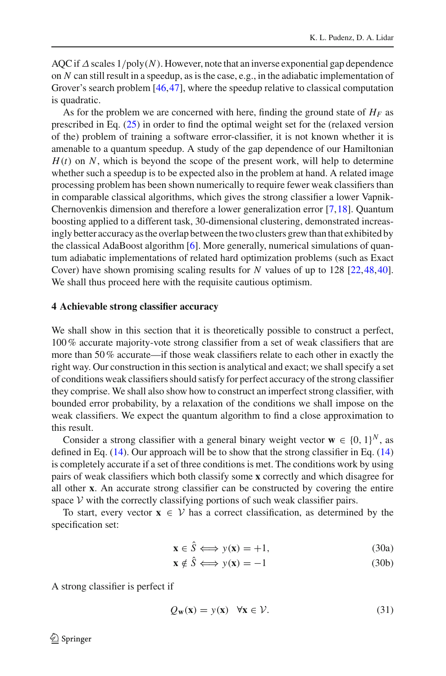AQC if  $\Delta$  scales  $1/poly(N)$ . However, note that an inverse exponential gap dependence on *N* can still result in a speedup, as is the case, e.g., in the adiabatic implementation of Grover's search problem [\[46](#page-43-13)[,47](#page-43-14)], where the speedup relative to classical computation is quadratic.

As for the problem we are concerned with here, finding the ground state of  $H_F$  as prescribed in Eq. [\(25\)](#page-11-0) in order to find the optimal weight set for the (relaxed version of the) problem of training a software error-classifier, it is not known whether it is amenable to a quantum speedup. A study of the gap dependence of our Hamiltonian  $H(t)$  on *N*, which is beyond the scope of the present work, will help to determine whether such a speedup is to be expected also in the problem at hand. A related image processing problem has been shown numerically to require fewer weak classifiers than in comparable classical algorithms, which gives the strong classifier a lower Vapnik-Chernovenkis dimension and therefore a lower generalization error [\[7](#page-42-3),[18\]](#page-42-26). Quantum boosting applied to a different task, 30-dimensional clustering, demonstrated increasingly better accuracy as the overlap between the two clusters grew than that exhibited by the classical AdaBoost algorithm [\[6](#page-42-2)]. More generally, numerical simulations of quantum adiabatic implementations of related hard optimization problems (such as Exact Cover) have shown promising scaling results for *N* values of up to 128 [\[22](#page-42-17)[,48](#page-43-15)[,40](#page-43-16)]. We shall thus proceed here with the requisite cautious optimism.

#### <span id="page-13-0"></span>**4 Achievable strong classifier accuracy**

We shall show in this section that it is theoretically possible to construct a perfect, 100% accurate majority-vote strong classifier from a set of weak classifiers that are more than 50% accurate—if those weak classifiers relate to each other in exactly the right way. Our construction in this section is analytical and exact; we shall specify a set of conditions weak classifiers should satisfy for perfect accuracy of the strong classifier they comprise. We shall also show how to construct an imperfect strong classifier, with bounded error probability, by a relaxation of the conditions we shall impose on the weak classifiers. We expect the quantum algorithm to find a close approximation to this result.

Consider a strong classifier with a general binary weight vector  $\mathbf{w} \in \{0, 1\}^N$ , as defined in Eq.  $(14)$ . Our approach will be to show that the strong classifier in Eq.  $(14)$ is completely accurate if a set of three conditions is met. The conditions work by using pairs of weak classifiers which both classify some **x** correctly and which disagree for all other **x**. An accurate strong classifier can be constructed by covering the entire space  $V$  with the correctly classifying portions of such weak classifier pairs.

To start, every vector  $\mathbf{x} \in \mathcal{V}$  has a correct classification, as determined by the specification set:

$$
\mathbf{x} \in \hat{S} \iff \mathbf{y}(\mathbf{x}) = +1,\tag{30a}
$$

$$
\mathbf{x} \notin \hat{S} \iff \mathbf{y}(\mathbf{x}) = -1 \tag{30b}
$$

<span id="page-13-1"></span>A strong classifier is perfect if

$$
Q_{\mathbf{w}}(\mathbf{x}) = y(\mathbf{x}) \quad \forall \mathbf{x} \in \mathcal{V}.\tag{31}
$$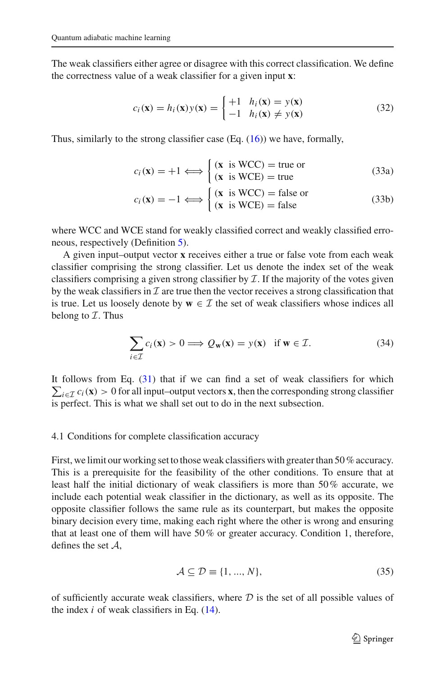The weak classifiers either agree or disagree with this correct classification. We define the correctness value of a weak classifier for a given input **x**:

$$
c_i(\mathbf{x}) = h_i(\mathbf{x})y(\mathbf{x}) = \begin{cases} +1 & h_i(\mathbf{x}) = y(\mathbf{x}) \\ -1 & h_i(\mathbf{x}) \neq y(\mathbf{x}) \end{cases}
$$
(32)

Thus, similarly to the strong classifier case  $(Eq. (16))$  $(Eq. (16))$  $(Eq. (16))$  we have, formally,

$$
c_i(\mathbf{x}) = +1 \Longleftrightarrow \begin{cases} (\mathbf{x} \text{ is WCC}) = \text{true or} \\ (\mathbf{x} \text{ is WCE}) = \text{true} \end{cases} \tag{33a}
$$

$$
c_i(\mathbf{x}) = -1 \Longleftrightarrow \begin{cases} (\mathbf{x} \text{ is WCC}) = \text{false or} \\ (\mathbf{x} \text{ is WCE}) = \text{false} \end{cases} \tag{33b}
$$

where WCC and WCE stand for weakly classified correct and weakly classified erroneous, respectively (Definition [5\)](#page-6-2).

A given input–output vector **x** receives either a true or false vote from each weak classifier comprising the strong classifier. Let us denote the index set of the weak classifiers comprising a given strong classifier by *I*. If the majority of the votes given by the weak classifiers in  $\mathcal I$  are true then the vector receives a strong classification that is true. Let us loosely denote by  $w \in \mathcal{I}$  the set of weak classifiers whose indices all belong to *I*. Thus

$$
\sum_{i \in \mathcal{I}} c_i(\mathbf{x}) > 0 \Longrightarrow Q_{\mathbf{w}}(\mathbf{x}) = y(\mathbf{x}) \quad \text{if } \mathbf{w} \in \mathcal{I}. \tag{34}
$$

<span id="page-14-1"></span>It follows from Eq. ( [31\)](#page-13-1) that if we can find a set of weak classifiers for which  $\sum_{i \in \mathcal{I}} c_i(\mathbf{x}) > 0$  for all input–output vectors **x**, then the corresponding strong classifier is perfect. This is what we shall set out to do in the next subsection.

#### 4.1 Conditions for complete classification accuracy

First, we limit our working set to those weak classifiers with greater than 50% accuracy. This is a prerequisite for the feasibility of the other conditions. To ensure that at least half the initial dictionary of weak classifiers is more than 50% accurate, we include each potential weak classifier in the dictionary, as well as its opposite. The opposite classifier follows the same rule as its counterpart, but makes the opposite binary decision every time, making each right where the other is wrong and ensuring that at least one of them will have 50% or greater accuracy. Condition 1, therefore, defines the set *A*,

$$
\mathcal{A} \subseteq \mathcal{D} \equiv \{1, ..., N\},\tag{35}
$$

<span id="page-14-0"></span>of sufficiently accurate weak classifiers, where  $D$  is the set of all possible values of the index  $i$  of weak classifiers in Eq.  $(14)$ .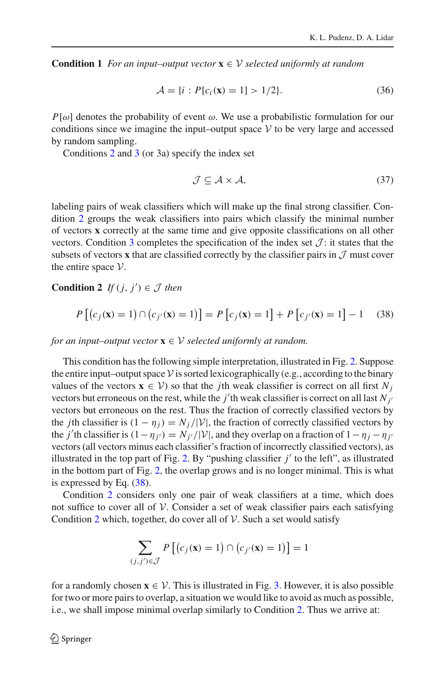**Condition 1** *For an input–output vector*  $\mathbf{x} \in \mathcal{V}$  *selected uniformly at random* 

$$
\mathcal{A} = \{i : P[c_i(\mathbf{x}) = 1] > 1/2\}.
$$
 (36)

 $P[\omega]$  denotes the probability of event  $\omega$ . We use a probabilistic formulation for our conditions since we imagine the input–output space  $V$  to be very large and accessed by random sampling.

Conditions [2](#page-15-0) and [3](#page-15-1) (or 3a) specify the index set

$$
\mathcal{J} \subseteq \mathcal{A} \times \mathcal{A},\tag{37}
$$

labeling pairs of weak classifiers which will make up the final strong classifier. Condition [2](#page-15-0) groups the weak classifiers into pairs which classify the minimal number of vectors **x** correctly at the same time and give opposite classifications on all other vectors. Condition [3](#page-15-1) completes the specification of the index set  $\mathcal{J}$ : it states that the subsets of vectors  $\bf{x}$  that are classified correctly by the classifier pairs in  $\cal{J}$  must cover the entire space *V*.

<span id="page-15-0"></span>**Condition 2** *If*  $(j, j') \in \mathcal{J}$  *then* 

$$
P [(c_j(\mathbf{x}) = 1) \cap (c_{j'}(\mathbf{x}) = 1)] = P [c_j(\mathbf{x}) = 1] + P [c_{j'}(\mathbf{x}) = 1] - 1 \quad (38)
$$

<span id="page-15-2"></span>*for an input–output vector*  $\mathbf{x} \in \mathcal{V}$  *selected uniformly at random.* 

This condition has the following simple interpretation, illustrated in Fig. [2.](#page-16-0) Suppose the entire input–output space  $V$  is sorted lexicographically (e.g., according to the binary values of the vectors  $\mathbf{x} \in V$ ) so that the *j*th weak classifier is correct on all first  $N_i$ vectors but erroneous on the rest, while the  $j'$ <sup>th</sup> weak classifier is correct on all last  $N_{j'}$ vectors but erroneous on the rest. Thus the fraction of correctly classified vectors by the *j*th classifier is  $(1 - \eta_i) = N_i/|\mathcal{V}|$ , the fraction of correctly classified vectors by the *j*'th classifier is  $(1 - \eta_{j'}) = N_{j'}/|\mathcal{V}|$ , and they overlap on a fraction of  $1 - \eta_j - \eta_{j'}$ vectors (all vectors minus each classifier's fraction of incorrectly classified vectors), as illustrated in the top part of Fig. [2.](#page-16-0) By "pushing classifier  $j'$  to the left", as illustrated in the bottom part of Fig. [2,](#page-16-0) the overlap grows and is no longer minimal. This is what is expressed by Eq. [\(38\)](#page-15-2).

Condition [2](#page-15-0) considers only one pair of weak classifiers at a time, which does not suffice to cover all of *V*. Consider a set of weak classifier pairs each satisfying Condition [2](#page-15-0) which, together, do cover all of  $V$ . Such a set would satisfy

<span id="page-15-1"></span>
$$
\sum_{(j,j')\in\mathcal{J}} P\left[ (c_j(\mathbf{x}) = 1) \cap (c_{j'}(\mathbf{x}) = 1) \right] = 1
$$

for a randomly chosen  $\mathbf{x} \in \mathcal{V}$ . This is illustrated in Fig. [3.](#page-16-1) However, it is also possible for two or more pairs to overlap, a situation we would like to avoid as much as possible, i.e., we shall impose minimal overlap similarly to Condition [2.](#page-15-0) Thus we arrive at: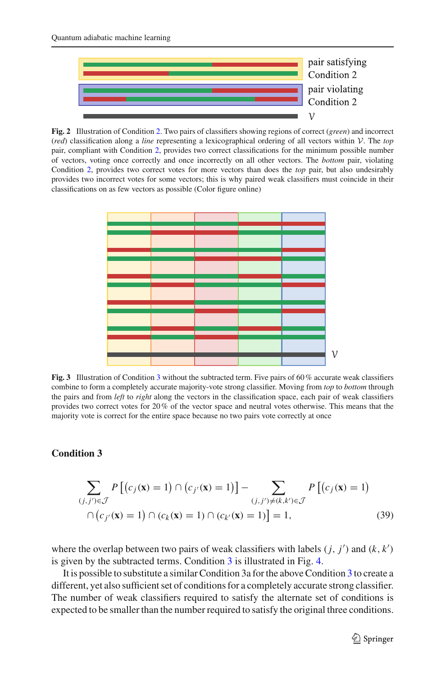

<span id="page-16-0"></span>**Fig. 2** Illustration of Condition [2.](#page-15-0) Two pairs of classifiers showing regions of correct (*green*) and incorrect (*red*) classification along a *line* representing a lexicographical ordering of all vectors within *V*. The *top* pair, compliant with Condition [2,](#page-15-0) provides two correct classifications for the minimum possible number of vectors, voting once correctly and once incorrectly on all other vectors. The *bottom* pair, violating Condition [2,](#page-15-0) provides two correct votes for more vectors than does the *top* pair, but also undesirably provides two incorrect votes for some vectors; this is why paired weak classifiers must coincide in their classifications on as few vectors as possible (Color figure online)



<span id="page-16-1"></span>**Fig. 3** Illustration of Condition [3](#page-15-1) without the subtracted term. Five pairs of 60% accurate weak classifiers combine to form a completely accurate majority-vote strong classifier. Moving from *top* to *bottom* through the pairs and from *left* to *right* along the vectors in the classification space, each pair of weak classifiers provides two correct votes for 20% of the vector space and neutral votes otherwise. This means that the majority vote is correct for the entire space because no two pairs vote correctly at once

# **Condition 3**

$$
\sum_{(j,j')\in\mathcal{J}} P\left[ (c_j(\mathbf{x}) = 1) \cap (c_{j'}(\mathbf{x}) = 1) \right] - \sum_{(j,j')\neq (k,k')\in\mathcal{J}} P\left[ (c_j(\mathbf{x}) = 1) \right] \n\cap (c_{j'}(\mathbf{x}) = 1) \cap (c_k(\mathbf{x}) = 1) \cap (c_{k'}(\mathbf{x}) = 1) \right] = 1,
$$
\n(39)

where the overlap between two pairs of weak classifiers with labels  $(j, j')$  and  $(k, k')$ is given by the subtracted terms. Condition [3](#page-15-1) is illustrated in Fig. [4.](#page-17-0)

It is possible to substitute a similar Condition 3a for the above Condition [3](#page-15-1) to create a different, yet also sufficient set of conditions for a completely accurate strong classifier. The number of weak classifiers required to satisfy the alternate set of conditions is expected to be smaller than the number required to satisfy the original three conditions.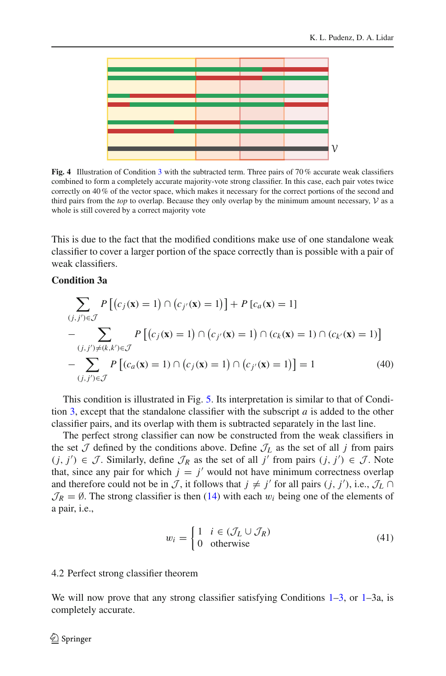

<span id="page-17-0"></span>**Fig. 4** Illustration of Condition [3](#page-15-1) with the subtracted term. Three pairs of 70% accurate weak classifiers combined to form a completely accurate majority-vote strong classifier. In this case, each pair votes twice correctly on 40% of the vector space, which makes it necessary for the correct portions of the second and third pairs from the *top* to overlap. Because they only overlap by the minimum amount necessary, *V* as a whole is still covered by a correct majority vote

This is due to the fact that the modified conditions make use of one standalone weak classifier to cover a larger portion of the space correctly than is possible with a pair of weak classifiers.

# **Condition 3a**

$$
\sum_{(j,j')\in\mathcal{J}} P\left[(c_j(\mathbf{x})=1) \cap (c_{j'}(\mathbf{x})=1)\right] + P\left[c_a(\mathbf{x})=1\right] \\
- \sum_{(j,j')\neq(k,k')\in\mathcal{J}} P\left[(c_j(\mathbf{x})=1) \cap (c_{j'}(\mathbf{x})=1) \cap (c_k(\mathbf{x})=1) \cap (c_{k'}(\mathbf{x})=1)\right] \\
- \sum_{(j,j')\in\mathcal{J}} P\left[(c_a(\mathbf{x})=1) \cap (c_j(\mathbf{x})=1) \cap (c_{j'}(\mathbf{x})=1)\right] = 1 \tag{40}
$$

This condition is illustrated in Fig. [5.](#page-18-0) Its interpretation is similar to that of Condition [3,](#page-15-1) except that the standalone classifier with the subscript *a* is added to the other classifier pairs, and its overlap with them is subtracted separately in the last line.

The perfect strong classifier can now be constructed from the weak classifiers in the set  $\mathcal J$  defined by the conditions above. Define  $\mathcal J_L$  as the set of all *j* from pairs  $(j, j')$  ∈ *J*. Similarly, define  $\mathcal{J}_R$  as the set of all *j'* from pairs  $(j, j')$  ∈ *J*. Note that, since any pair for which  $j = j'$  would not have minimum correctness overlap and therefore could not be in *J*, it follows that  $j \neq j'$  for all pairs  $(j, j')$ , i.e.,  $\mathcal{J}_L \cap$  $\mathcal{J}_R = \emptyset$ . The strong classifier is then [\(14\)](#page-8-3) with each  $w_i$  being one of the elements of a pair, i.e.,

$$
w_i = \begin{cases} 1 & i \in (\mathcal{J}_L \cup \mathcal{J}_R) \\ 0 & \text{otherwise} \end{cases}
$$
 (41)

# <span id="page-17-2"></span>4.2 Perfect strong classifier theorem

<span id="page-17-1"></span>We will now prove that any strong classifier satisfying Conditions  $1-3$ , or  $1-3a$ , is completely accurate.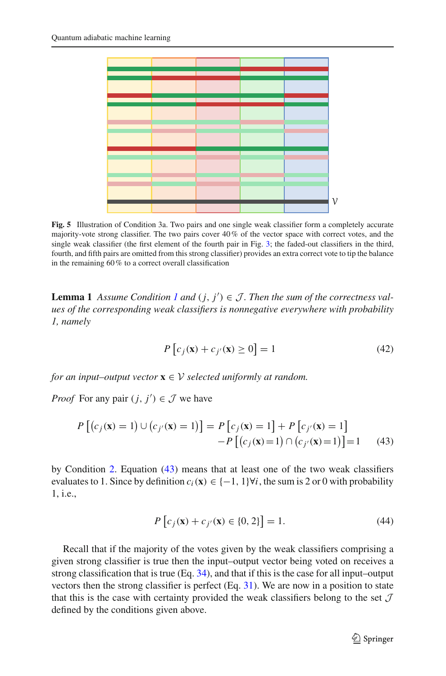

<span id="page-18-0"></span>**Fig. 5** Illustration of Condition 3a. Two pairs and one single weak classifier form a completely accurate majority-vote strong classifier. The two pairs cover 40% of the vector space with correct votes, and the single weak classifier (the first element of the fourth pair in Fig. [3;](#page-16-1) the faded-out classifiers in the third, fourth, and fifth pairs are omitted from this strong classifier) provides an extra correct vote to tip the balance in the remaining 60% to a correct overall classification

**Lemma [1](#page-14-0)** *Assume Condition 1 and*  $(j, j') \in \mathcal{J}$ . Then the sum of the correctness val*ues of the corresponding weak classifiers is nonnegative everywhere with probability 1, namely*

$$
P\left[c_j(\mathbf{x}) + c_{j'}(\mathbf{x}) \ge 0\right] = 1\tag{42}
$$

*for an input–output vector*  $\mathbf{x} \in \mathcal{V}$  *selected uniformly at random.* 

<span id="page-18-1"></span>*Proof* For any pair  $(j, j') \in \mathcal{J}$  we have

$$
P [(c_j(\mathbf{x}) = 1) \cup (c_{j'}(\mathbf{x}) = 1)] = P [c_j(\mathbf{x}) = 1] + P [c_{j'}(\mathbf{x}) = 1] - P [(c_j(\mathbf{x}) = 1) \cap (c_{j'}(\mathbf{x}) = 1)] = 1
$$
(43)

by Condition [2.](#page-15-0) Equation [\(43\)](#page-18-1) means that at least one of the two weak classifiers evaluates to 1. Since by definition  $c_i(\mathbf{x}) \in \{-1, 1\} \forall i$ , the sum is 2 or 0 with probability 1, i.e.,

$$
P[c_j(\mathbf{x}) + c_{j'}(\mathbf{x}) \in \{0, 2\}] = 1.
$$
 (44)

Recall that if the majority of the votes given by the weak classifiers comprising a given strong classifier is true then the input–output vector being voted on receives a strong classification that is true  $(Eq. 34)$  $(Eq. 34)$ , and that if this is the case for all input–output vectors then the strong classifier is perfect  $(Eq. 31)$  $(Eq. 31)$ . We are now in a position to state that this is the case with certainty provided the weak classifiers belong to the set  $\mathcal J$ defined by the conditions given above.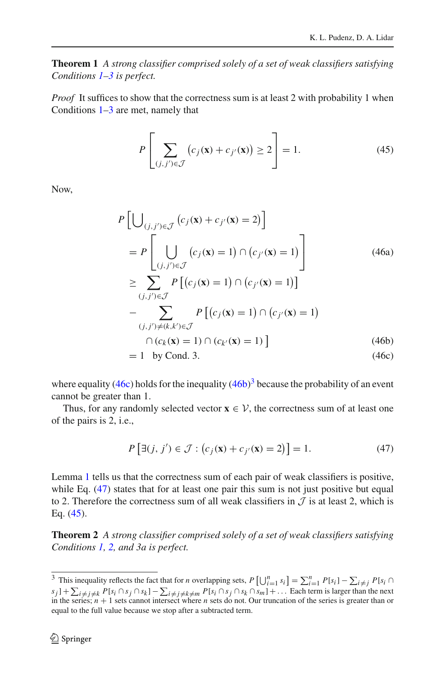<span id="page-19-4"></span>**Theorem 1** *A strong classifier comprised solely of a set of weak classifiers satisfying Conditions [1–](#page-14-0)[3](#page-15-1) is perfect.*

*Proof* It suffices to show that the correctness sum is at least 2 with probability 1 when Conditions  $1-3$  $1-3$  are met, namely that

$$
P\left[\sum_{(j,j')\in\mathcal{J}}\left(c_j(\mathbf{x})+c_{j'}(\mathbf{x})\right)\geq 2\right]=1.
$$
 (45)

<span id="page-19-3"></span><span id="page-19-0"></span>Now,

$$
P\left[\bigcup_{(j,j')\in\mathcal{J}} (c_j(\mathbf{x}) + c_{j'}(\mathbf{x}) = 2)\right]
$$
  
\n
$$
= P\left[\bigcup_{(j,j')\in\mathcal{J}} (c_j(\mathbf{x}) = 1) \cap (c_{j'}(\mathbf{x}) = 1)\right]
$$
  
\n
$$
\geq \sum_{(j,j')\in\mathcal{J}} P\left[(c_j(\mathbf{x}) = 1) \cap (c_{j'}(\mathbf{x}) = 1)\right]
$$
  
\n
$$
- \sum_{(j,j')\neq(k,k')\in\mathcal{J}} P\left[(c_j(\mathbf{x}) = 1) \cap (c_{j'}(\mathbf{x}) = 1)\right]
$$
  
\n
$$
\cap (c_k(\mathbf{x}) = 1) \cap (c_{k'}(\mathbf{x}) = 1) \tag{46b}
$$
  
\n
$$
= 1 \text{ by Cond. 3.} (46c)
$$

where equality [\(46c\)](#page-19-0) holds for the inequality [\(46b\)](#page-19-0)<sup>[3](#page-19-1)</sup> because the probability of an event cannot be greater than 1.

Thus, for any randomly selected vector  $\mathbf{x} \in \mathcal{V}$ , the correctness sum of at least one of the pairs is 2, i.e.,

$$
P\left[\exists(j, j') \in \mathcal{J} : \left(c_j(\mathbf{x}) + c_{j'}(\mathbf{x}) = 2\right)\right] = 1.
$$
\n<sup>(47)</sup>

<span id="page-19-2"></span>Lemma [1](#page-17-1) tells us that the correctness sum of each pair of weak classifiers is positive, while Eq.  $(47)$  states that for at least one pair this sum is not just positive but equal to 2. Therefore the correctness sum of all weak classifiers in  $\mathcal J$  is at least 2, which is Eq. [\(45\)](#page-19-3).

**Theorem 2** *A strong classifier comprised solely of a set of weak classifiers satisfying Conditions [1,](#page-14-0) [2,](#page-15-0) and 3a is perfect.*

<span id="page-19-1"></span><sup>&</sup>lt;sup>3</sup> This inequality reflects the fact that for *n* overlapping sets,  $P\left[\bigcup_{i=1}^{n} s_i\right] = \sum_{i=1}^{n} P[s_i] - \sum_{i \neq j} P[s_i]$  $s_j$ ] +  $\sum_{i \neq j \neq k} P[s_i \cap s_j \cap s_k] - \sum_{i \neq j \neq k \neq m} P[s_i \cap s_j \cap s_k \cap s_m] + ...$  Each term is larger than the next<br>in the series;  $n + 1$  sets cannot intersect where *n* sets do not. Our truncation of the series is greater than or equal to the full value because we stop after a subtracted term.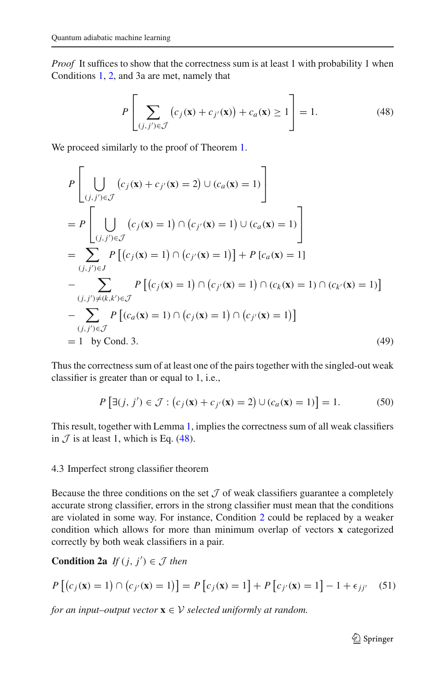*Proof* It suffices to show that the correctness sum is at least 1 with probability 1 when Conditions [1,](#page-14-0) [2,](#page-15-0) and 3a are met, namely that

$$
P\left[\sum_{(j,j')\in\mathcal{J}}\left(c_j(\mathbf{x})+c_{j'}(\mathbf{x})\right)+c_a(\mathbf{x})\geq 1\right]=1.
$$
 (48)

<span id="page-20-0"></span>We proceed similarly to the proof of Theorem [1.](#page-19-4)

$$
P\left[\bigcup_{(j,j')\in\mathcal{J}}(c_j(\mathbf{x})+c_{j'}(\mathbf{x})=2)\cup(c_a(\mathbf{x})=1)\right]
$$
  
=  $P\left[\bigcup_{(j,j')\in\mathcal{J}}(c_j(\mathbf{x})=1)\cap(c_{j'}(\mathbf{x})=1)\cup(c_a(\mathbf{x})=1)\right]$   
=  $\sum_{(j,j')\in J} P\left[(c_j(\mathbf{x})=1)\cap(c_{j'}(\mathbf{x})=1)\right] + P[c_a(\mathbf{x})=1]$   
-  $\sum_{(j,j')\neq(k,k')\in\mathcal{J}} P\left[(c_j(\mathbf{x})=1)\cap(c_{j'}(\mathbf{x})=1)\cap(c_k(\mathbf{x})=1)\cap(c_{k'}(\mathbf{x})=1)\right]$   
-  $\sum_{(j,j')\in\mathcal{J}} P\left[(c_a(\mathbf{x})=1)\cap(c_j(\mathbf{x})=1)\cap(c_{j'}(\mathbf{x})=1)\right]$   
= 1 by Cond. 3. (49)

Thus the correctness sum of at least one of the pairs together with the singled-out weak classifier is greater than or equal to 1, i.e.,

$$
P\left[\exists(j, j') \in \mathcal{J} : (c_j(\mathbf{x}) + c_{j'}(\mathbf{x}) = 2) \cup (c_a(\mathbf{x}) = 1)\right] = 1.
$$
 (50)

This result, together with Lemma [1,](#page-17-1) implies the correctness sum of all weak classifiers in  $\mathcal J$  is at least 1, which is Eq. [\(48\)](#page-20-0).

# 4.3 Imperfect strong classifier theorem

Because the three conditions on the set  $J$  of weak classifiers guarantee a completely accurate strong classifier, errors in the strong classifier must mean that the conditions are violated in some way. For instance, Condition [2](#page-15-0) could be replaced by a weaker condition which allows for more than minimum overlap of vectors **x** categorized correctly by both weak classifiers in a pair.

**Condition 2a** *If*  $(j, j') \in \mathcal{J}$  *then* 

$$
P[(c_j(\mathbf{x}) = 1) \cap (c_{j'}(\mathbf{x}) = 1)] = P[c_j(\mathbf{x}) = 1] + P[c_{j'}(\mathbf{x}) = 1] - 1 + \epsilon_{jj'} \quad (51)
$$

*for an input–output vector*  $\mathbf{x} \in \mathcal{V}$  *selected uniformly at random.*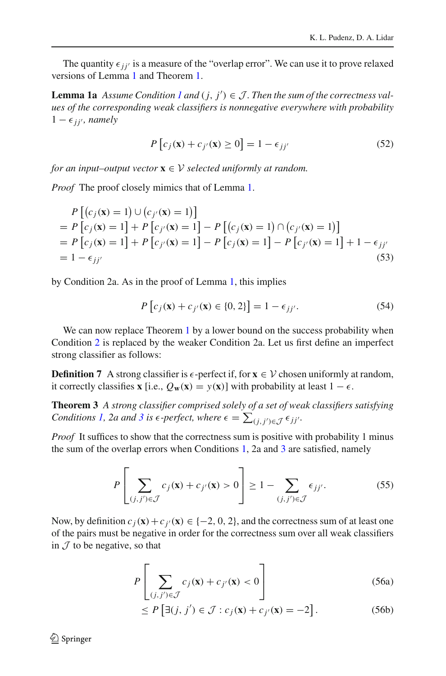The quantity  $\epsilon_{ij'}$  is a measure of the "overlap error". We can use it to prove relaxed versions of Lemma [1](#page-17-1) and Theorem [1.](#page-19-4)

**Lemma [1](#page-14-0)a** *Assume Condition 1 and*  $(j, j') \in \mathcal{J}$ . Then the sum of the correctness val*ues of the corresponding weak classifiers is nonnegative everywhere with probability*  $1 - \epsilon_{ii'}$ , *namely* 

$$
P\left[c_j(\mathbf{x}) + c_{j'}(\mathbf{x}) \ge 0\right] = 1 - \epsilon_{jj'}
$$
\n(52)

*for an input–output vector*  $\mathbf{x} \in \mathcal{V}$  *selected uniformly at random.* 

*Proof* The proof closely mimics that of Lemma [1.](#page-17-1)

$$
P [(c_j(\mathbf{x}) = 1) \cup (c_{j'}(\mathbf{x}) = 1)]
$$
  
=  $P [c_j(\mathbf{x}) = 1] + P [c_{j'}(\mathbf{x}) = 1] - P [(c_j(\mathbf{x}) = 1) \cap (c_{j'}(\mathbf{x}) = 1)]$   
=  $P [c_j(\mathbf{x}) = 1] + P [c_{j'}(\mathbf{x}) = 1] - P [c_j(\mathbf{x}) = 1] - P [c_{j'}(\mathbf{x}) = 1] + 1 - \epsilon_{jj'}$   
=  $1 - \epsilon_{jj'}$  (53)

by Condition 2a. As in the proof of Lemma [1,](#page-17-1) this implies

$$
P[c_j(\mathbf{x}) + c_{j'}(\mathbf{x}) \in \{0, 2\}] = 1 - \epsilon_{jj'}.
$$
 (54)

We can now replace Theorem [1](#page-19-4) by a lower bound on the success probability when Condition [2](#page-15-0) is replaced by the weaker Condition 2a. Let us first define an imperfect strong classifier as follows:

**Definition 7** A strong classifier is  $\epsilon$ -perfect if, for  $\mathbf{x} \in \mathcal{V}$  chosen uniformly at random, it correctly classifies **x** [i.e.,  $Q_w(x) = y(x)$ ] with probability at least  $1 - \epsilon$ .

<span id="page-21-2"></span>**Theorem 3** *A strong classifier comprised solely of a set of weak classifiers satisfying Conditions* [1,](#page-14-0) 2*a and* [3](#page-15-1) *is*  $\epsilon$ -perfect, where  $\epsilon = \sum_{(j,j')\in\mathcal{J}} \epsilon_{jj'}$ .

*Proof* It suffices to show that the correctness sum is positive with probability 1 minus the sum of the overlap errors when Conditions [1,](#page-14-0) 2a and [3](#page-15-1) are satisfied, namely

$$
P\left[\sum_{(j,j')\in\mathcal{J}}c_j(\mathbf{x})+c_{j'}(\mathbf{x})>0\right]\geq 1-\sum_{(j,j')\in\mathcal{J}}\epsilon_{jj'}.
$$
 (55)

<span id="page-21-1"></span>Now, by definition  $c_j(\mathbf{x})+c_{j'}(\mathbf{x}) \in \{-2, 0, 2\}$ , and the correctness sum of at least one of the pairs must be negative in order for the correctness sum over all weak classifiers in  $J$  to be negative, so that

$$
P\left[\sum_{(j,j')\in\mathcal{J}}c_j(\mathbf{x})+c_{j'}(\mathbf{x})<0\right]
$$
\n(56a)

$$
\leq P\left[\exists(j,j')\in\mathcal{J}:c_j(\mathbf{x})+c_{j'}(\mathbf{x})=-2\right].\tag{56b}
$$

<span id="page-21-0"></span> $\circled{2}$  Springer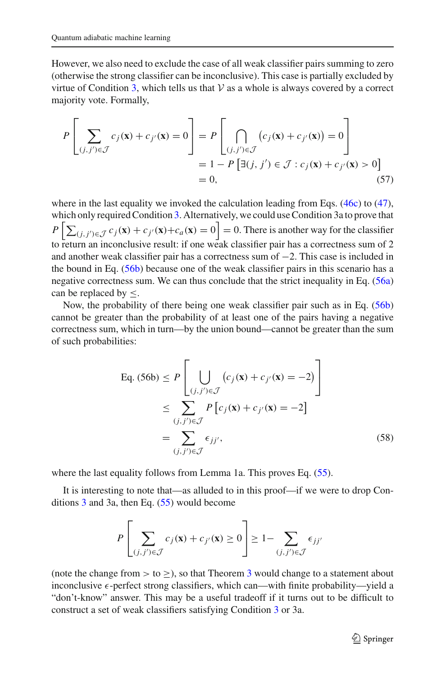However, we also need to exclude the case of all weak classifier pairs summing to zero (otherwise the strong classifier can be inconclusive). This case is partially excluded by virtue of Condition [3,](#page-15-1) which tells us that  $V$  as a whole is always covered by a correct majority vote. Formally,

$$
P\left[\sum_{(j,j')\in\mathcal{J}} c_j(\mathbf{x}) + c_{j'}(\mathbf{x}) = 0\right] = P\left[\bigcap_{(j,j')\in\mathcal{J}} \left(c_j(\mathbf{x}) + c_{j'}(\mathbf{x})\right) = 0\right]
$$

$$
= 1 - P\left[\exists (j,j')\in\mathcal{J}: c_j(\mathbf{x}) + c_{j'}(\mathbf{x}) > 0\right]
$$

$$
= 0,
$$
(57)

where in the last equality we invoked the calculation leading from Eqs.  $(46c)$  to  $(47)$ , which only required Condition [3.](#page-15-1) Alternatively, we could use Condition 3a to prove that  $P\left[\sum_{(j,j')\in\mathcal{J}}c_j(\mathbf{x})+c_{j'}(\mathbf{x})+c_a(\mathbf{x})=0\right]=0.$  There is another way for the classifier to return an inconclusive result: if one weak classifier pair has a correctness sum of 2 and another weak classifier pair has a correctness sum of −2. This case is included in the bound in Eq. [\(56b\)](#page-21-0) because one of the weak classifier pairs in this scenario has a negative correctness sum. We can thus conclude that the strict inequality in Eq. [\(56a\)](#page-21-0) can be replaced by ≤.

Now, the probability of there being one weak classifier pair such as in Eq. [\(56b\)](#page-21-0) cannot be greater than the probability of at least one of the pairs having a negative correctness sum, which in turn—by the union bound—cannot be greater than the sum of such probabilities:

Eq. (56b) 
$$
\leq P\left[\bigcup_{(j,j')\in\mathcal{J}}(c_j(\mathbf{x})+c_{j'}(\mathbf{x})=-2)\right]
$$
  
\n $\leq \sum_{(j,j')\in\mathcal{J}} P[c_j(\mathbf{x})+c_{j'}(\mathbf{x})=-2]$   
\n $= \sum_{(j,j')\in\mathcal{J}} \epsilon_{jj'},$  (58)

where the last equality follows from Lemma 1a. This proves Eq.  $(55)$ .

It is interesting to note that—as alluded to in this proof—if we were to drop Conditions [3](#page-15-1) and 3a, then Eq. [\(55\)](#page-21-1) would become

$$
P\left[\sum_{(j,j')\in\mathcal{J}}c_j(\mathbf{x}) + c_{j'}(\mathbf{x}) \ge 0\right] \ge 1 - \sum_{(j,j')\in\mathcal{J}}\epsilon_{jj'}
$$

(note the change from  $>$  to  $\geq$ ), so that Theorem [3](#page-21-2) would change to a statement about inconclusive  $\epsilon$ -perfect strong classifiers, which can—with finite probability—yield a "don't-know" answer. This may be a useful tradeoff if it turns out to be difficult to construct a set of weak classifiers satisfying Condition [3](#page-15-1) or 3a.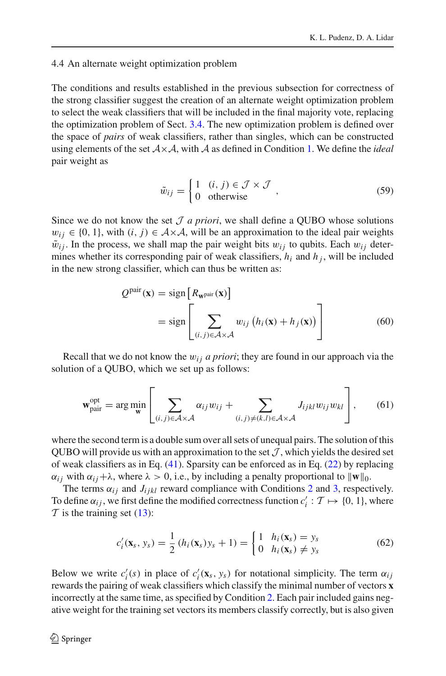#### <span id="page-23-0"></span>4.4 An alternate weight optimization problem

The conditions and results established in the previous subsection for correctness of the strong classifier suggest the creation of an alternate weight optimization problem to select the weak classifiers that will be included in the final majority vote, replacing the optimization problem of Sect. [3.4.](#page-9-1) The new optimization problem is defined over the space of *pairs* of weak classifiers, rather than singles, which can be constructed using elements of the set *A*×*A*, with *A* as defined in Condition [1.](#page-14-0) We define the *ideal* pair weight as

$$
\tilde{w}_{ij} = \begin{cases} 1 & (i, j) \in \mathcal{J} \times \mathcal{J} \\ 0 & \text{otherwise} \end{cases},
$$
\n(59)

Since we do not know the set  $\mathcal J$  *a priori*, we shall define a QUBO whose solutions  $w_{ij} \in \{0, 1\}$ , with  $(i, j) \in A \times A$ , will be an approximation to the ideal pair weights  $\tilde{w}_{ij}$ . In the process, we shall map the pair weight bits  $w_{ij}$  to qubits. Each  $w_{ij}$  determines whether its corresponding pair of weak classifiers,  $h_i$  and  $h_j$ , will be included in the new strong classifier, which can thus be written as:

$$
Q^{\text{pair}}(\mathbf{x}) = \text{sign}\left[R_{\mathbf{w}^{\text{pair}}}(\mathbf{x})\right]
$$

$$
= \text{sign}\left[\sum_{(i,j)\in\mathcal{A}\times\mathcal{A}} w_{ij} \left(h_i(\mathbf{x}) + h_j(\mathbf{x})\right)\right]
$$
(60)

Recall that we do not know the  $w_{ij}$  *a priori*; they are found in our approach via the solution of a QUBO, which we set up as follows:

$$
\mathbf{w}_{\text{pair}}^{\text{opt}} = \arg \min_{\mathbf{w}} \left[ \sum_{(i,j) \in \mathcal{A} \times \mathcal{A}} \alpha_{ij} w_{ij} + \sum_{(i,j) \neq (k,l) \in \mathcal{A} \times \mathcal{A}} J_{ijkl} w_{ij} w_{kl} \right],\tag{61}
$$

where the second term is a double sum over all sets of unequal pairs. The solution of this QUBO will provide us with an approximation to the set  $J$ , which yields the desired set of weak classifiers as in Eq. [\(41\)](#page-17-2). Sparsity can be enforced as in Eq. [\(22\)](#page-10-0) by replacing  $\alpha_{ij}$  with  $\alpha_{ij} + \lambda$ , where  $\lambda > 0$ , i.e., by including a penalty proportional to  $\|\mathbf{w}\|_0$ .

The terms  $\alpha_{ij}$  and  $J_{ijkl}$  reward compliance with Conditions [2](#page-15-0) and [3,](#page-15-1) respectively. To define  $\alpha_{ij}$ , we first define the modified correctness function  $c'_i : \mathcal{T} \mapsto \{0, 1\}$ , where  $\mathcal T$  is the training set [\(13\)](#page-7-0):

$$
c'_{i}(\mathbf{x}_{s}, y_{s}) = \frac{1}{2} (h_{i}(\mathbf{x}_{s})y_{s} + 1) = \begin{cases} 1 & h_{i}(\mathbf{x}_{s}) = y_{s} \\ 0 & h_{i}(\mathbf{x}_{s}) \neq y_{s} \end{cases}
$$
(62)

Below we write  $c_i'(s)$  in place of  $c_i'(\mathbf{x}_s, y_s)$  for notational simplicity. The term  $\alpha_{ij}$ rewards the pairing of weak classifiers which classify the minimal number of vectors **x** incorrectly at the same time, as specified by Condition [2.](#page-15-0) Each pair included gains negative weight for the training set vectors its members classify correctly, but is also given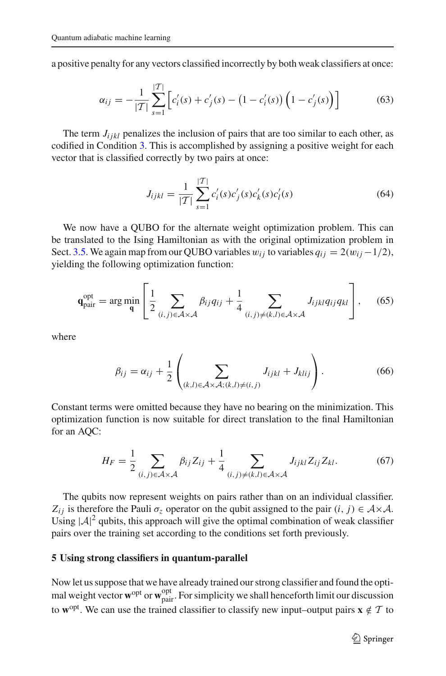a positive penalty for any vectors classified incorrectly by both weak classifiers at once:

$$
\alpha_{ij} = -\frac{1}{|T|} \sum_{s=1}^{|T|} \left[ c_i'(s) + c_j'(s) - (1 - c_i'(s)) \left( 1 - c_j'(s) \right) \right] \tag{63}
$$

The term  $J_{ijkl}$  penalizes the inclusion of pairs that are too similar to each other, as codified in Condition [3.](#page-15-1) This is accomplished by assigning a positive weight for each vector that is classified correctly by two pairs at once:

$$
J_{ijkl} = \frac{1}{|T|} \sum_{s=1}^{|T|} c'_i(s) c'_j(s) c'_k(s) c'_l(s)
$$
 (64)

We now have a QUBO for the alternate weight optimization problem. This can be translated to the Ising Hamiltonian as with the original optimization problem in Sect. [3.5.](#page-10-1) We again map from our QUBO variables  $w_{ij}$  to variables  $q_{ij} = 2(w_{ij} - 1/2)$ , yielding the following optimization function:

$$
\mathbf{q}_{\text{pair}}^{\text{opt}} = \arg\min_{\mathbf{q}} \left[ \frac{1}{2} \sum_{(i,j)\in\mathcal{A}\times\mathcal{A}} \beta_{ij} q_{ij} + \frac{1}{4} \sum_{(i,j)\neq(k,l)\in\mathcal{A}\times\mathcal{A}} J_{ijkl} q_{ij} q_{kl} \right], \quad (65)
$$

where

$$
\beta_{ij} = \alpha_{ij} + \frac{1}{2} \left( \sum_{(k,l) \in \mathcal{A} \times \mathcal{A}; (k,l) \neq (i,j)} J_{ijkl} + J_{klij} \right). \tag{66}
$$

Constant terms were omitted because they have no bearing on the minimization. This optimization function is now suitable for direct translation to the final Hamiltonian for an AQC:

$$
H_F = \frac{1}{2} \sum_{(i,j)\in\mathcal{A}\times\mathcal{A}} \beta_{ij} Z_{ij} + \frac{1}{4} \sum_{(i,j)\neq(k,l)\in\mathcal{A}\times\mathcal{A}} J_{ijkl} Z_{ij} Z_{kl}.
$$
 (67)

The qubits now represent weights on pairs rather than on an individual classifier. *Z<sub>ij</sub>* is therefore the Pauli  $\sigma_z$  operator on the qubit assigned to the pair  $(i, j) \in A \times A$ . Using  $|A|^2$  qubits, this approach will give the optimal combination of weak classifier pairs over the training set according to the conditions set forth previously.

#### <span id="page-24-0"></span>**5 Using strong classifiers in quantum-parallel**

Now let us suppose that we have already trained our strong classifier and found the optimal weight vector **w**<sup>opt</sup> or **w**<sup>opt</sup><sub>pair</sub>. For simplicity we shall henceforth limit our discussion to **w**<sup>opt</sup>. We can use the trained classifier to classify new input–output pairs  $\mathbf{x} \notin \mathcal{T}$  to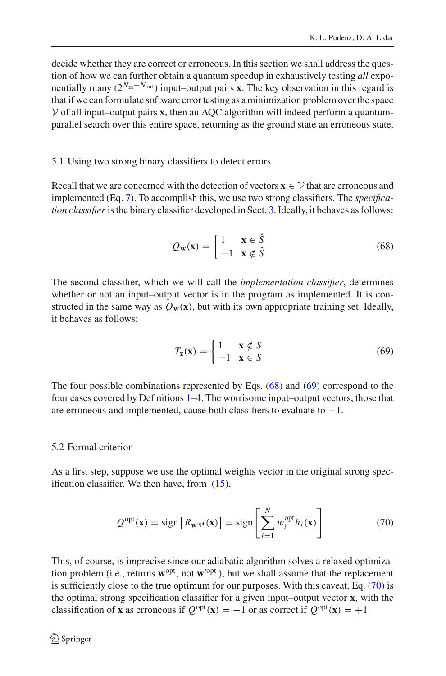decide whether they are correct or erroneous. In this section we shall address the question of how we can further obtain a quantum speedup in exhaustively testing *all* exponentially many  $(2^{N_{\text{in}}+N_{\text{out}}})$  input–output pairs **x**. The key observation in this regard is that if we can formulate software error testing as a minimization problem over the space *V* of all input–output pairs **x**, then an AQC algorithm will indeed perform a quantumparallel search over this entire space, returning as the ground state an erroneous state.

# 5.1 Using two strong binary classifiers to detect errors

Recall that we are concerned with the detection of vectors  $\mathbf{x} \in \mathcal{V}$  that are erroneous and implemented (Eq. [7\)](#page-4-2). To accomplish this, we use two strong classifiers. The *specification classifier* is the binary classifier developed in Sect. [3.](#page-6-0) Ideally, it behaves as follows:

$$
Q_{\mathbf{w}}(\mathbf{x}) = \begin{cases} 1 & \mathbf{x} \in \hat{S} \\ -1 & \mathbf{x} \notin \hat{S} \end{cases}
$$
 (68)

<span id="page-25-0"></span>The second classifier, which we will call the *implementation classifier*, determines whether or not an input–output vector is in the program as implemented. It is constructed in the same way as  $O_w(x)$ , but with its own appropriate training set. Ideally, it behaves as follows:

$$
T_{\mathbf{z}}(\mathbf{x}) = \begin{cases} 1 & \mathbf{x} \notin S \\ -1 & \mathbf{x} \in S \end{cases}
$$
(69)

<span id="page-25-1"></span>The four possible combinations represented by Eqs. [\(68\)](#page-25-0) and [\(69\)](#page-25-1) correspond to the four cases covered by Definitions [1](#page-4-4)[–4.](#page-5-1) The worrisome input–output vectors, those that are erroneous and implemented, cause both classifiers to evaluate to  $-1$ .

# 5.2 Formal criterion

As a first step, suppose we use the optimal weights vector in the original strong specification classifier. We then have, from [\(15\)](#page-8-1),

$$
Q^{\text{opt}}(\mathbf{x}) = \text{sign}\left[R_{\mathbf{w}^{\text{opt}}}(\mathbf{x})\right] = \text{sign}\left[\sum_{i=1}^{N} w_i^{\text{opt}} h_i(\mathbf{x})\right] \tag{70}
$$

<span id="page-25-2"></span>This, of course, is imprecise since our adiabatic algorithm solves a relaxed optimization problem (i.e., returns  $\mathbf{w}^{\text{opt}}$ , not  $\mathbf{w}'^{\text{opt}}$ ), but we shall assume that the replacement is sufficiently close to the true optimum for our purposes. With this caveat, Eq. [\(70\)](#page-25-2) is the optimal strong specification classifier for a given input–output vector **x**, with the classification of **x** as erroneous if  $Q^{opt}(\mathbf{x}) = -1$  or as correct if  $Q^{opt}(\mathbf{x}) = +1$ .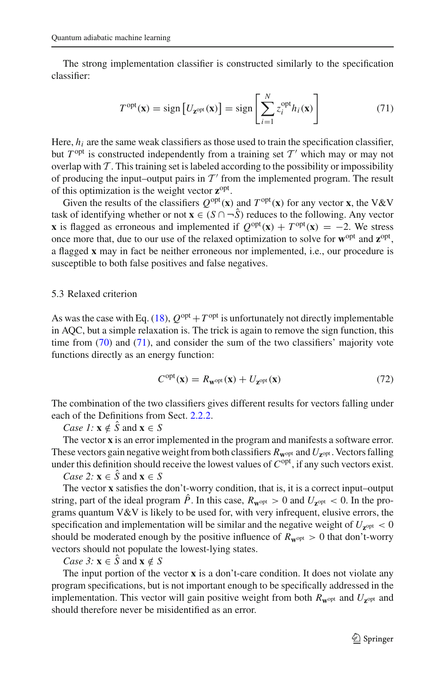The strong implementation classifier is constructed similarly to the specification classifier:

$$
T^{\text{opt}}(\mathbf{x}) = \text{sign}\left[U_{\mathbf{z}^{\text{opt}}}(\mathbf{x})\right] = \text{sign}\left[\sum_{i=1}^{N} z_i^{\text{opt}} h_i(\mathbf{x})\right]
$$
(71)

<span id="page-26-0"></span>Here,  $h_i$  are the same weak classifiers as those used to train the specification classifier, but  $T^{\text{opt}}$  is constructed independently from a training set  $T'$  which may or may not overlap with  $\mathcal T$ . This training set is labeled according to the possibility or impossibility of producing the input–output pairs in  $T'$  from the implemented program. The result of this optimization is the weight vector **z**opt.

Given the results of the classifiers  $Q^{opt}(\mathbf{x})$  and  $T^{opt}(\mathbf{x})$  for any vector **x**, the V&V task of identifying whether or not  $\mathbf{x} \in (S \cap \neg \hat{S})$  reduces to the following. Any vector **x** is flagged as erroneous and implemented if  $Q^{opt}(\mathbf{x}) + T^{opt}(\mathbf{x}) = -2$ . We stress once more that, due to our use of the relaxed optimization to solve for **w**opt and **z**opt, a flagged **x** may in fact be neither erroneous nor implemented, i.e., our procedure is susceptible to both false positives and false negatives.

# 5.3 Relaxed criterion

As was the case with Eq. [\(18\)](#page-9-0),  $Q^{opt} + T^{opt}$  is unfortunately not directly implementable in AQC, but a simple relaxation is. The trick is again to remove the sign function, this time from [\(70\)](#page-25-2) and [\(71\)](#page-26-0), and consider the sum of the two classifiers' majority vote functions directly as an energy function:

$$
C^{\text{opt}}(\mathbf{x}) = R_{\mathbf{w}^{\text{opt}}}(\mathbf{x}) + U_{\mathbf{z}^{\text{opt}}}(\mathbf{x}) \tag{72}
$$

<span id="page-26-1"></span>The combination of the two classifiers gives different results for vectors falling under each of the Definitions from Sect. [2.2.2.](#page-4-8)

*Case 1:*  $\mathbf{x} \notin S$  and  $\mathbf{x} \in S$ 

The vector **x** is an error implemented in the program and manifests a software error. These vectors gain negative weight from both classifiers *R***w**opt and*U***z**opt . Vectors falling under this definition should receive the lowest values of  $C^{opt}$ , if any such vectors exist.

*Case* 2:  $\mathbf{x} \in \hat{S}$  and  $\mathbf{x} \in S$ 

The vector **x** satisfies the don't-worry condition, that is, it is a correct input–output string, part of the ideal program  $\hat{P}$ . In this case,  $R_{\mathbf{w}^{\text{opt}}} > 0$  and  $U_{\mathbf{z}^{\text{opt}}} < 0$ . In the programs quantum V&V is likely to be used for, with very infrequent, elusive errors, the specification and implementation will be similar and the negative weight of  $U_{\text{z}^{\text{opt}}} < 0$ should be moderated enough by the positive influence of  $R_{\mathbf{w}^{\text{opt}}} > 0$  that don't-worry vectors should not populate the lowest-lying states.

*Case* 3:  $\mathbf{x} \in \hat{S}$  and  $\mathbf{x} \notin S$ 

The input portion of the vector **x** is a don't-care condition. It does not violate any program specifications, but is not important enough to be specifically addressed in the implementation. This vector will gain positive weight from both  $R_{\text{wopt}}$  and  $U_{\text{zopt}}$  and should therefore never be misidentified as an error.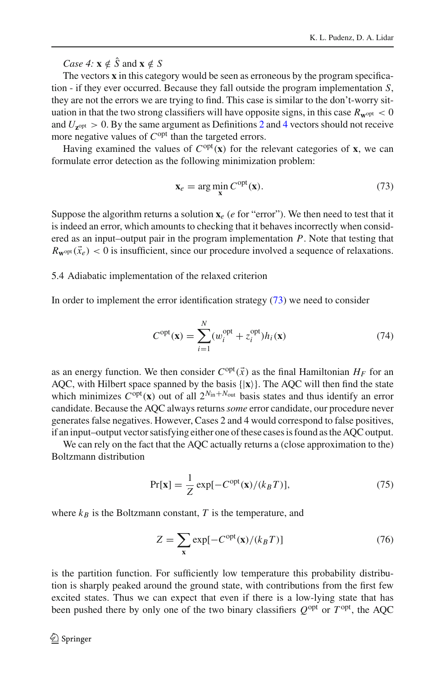*Case 4:*  $\mathbf{x} \notin \hat{S}$  and  $\mathbf{x} \notin S$ 

The vectors **x** in this category would be seen as erroneous by the program specification - if they ever occurred. Because they fall outside the program implementation *S*, they are not the errors we are trying to find. This case is similar to the don't-worry situation in that the two strong classifiers will have opposite signs, in this case  $R_{\text{wopt}} < 0$ and  $U_{\text{z}^{\text{opt}}} > 0$ . By the same argument as Definitions [2](#page-4-6) and [4](#page-5-1) vectors should not receive more negative values of  $C^{opt}$  than the targeted errors.

Having examined the values of  $C^{opt}(\mathbf{x})$  for the relevant categories of **x**, we can formulate error detection as the following minimization problem:

$$
\mathbf{x}_e = \arg\min_{\mathbf{x}} C^{\text{opt}}(\mathbf{x}).\tag{73}
$$

<span id="page-27-0"></span>Suppose the algorithm returns a solution  $\mathbf{x}_e$  (*e* for "error"). We then need to test that it is indeed an error, which amounts to checking that it behaves incorrectly when considered as an input–output pair in the program implementation *P*. Note that testing that  $R_{\mathbf{w}^{\text{opt}}}(\vec{x}_e)$  < 0 is insufficient, since our procedure involved a sequence of relaxations.

# 5.4 Adiabatic implementation of the relaxed criterion

<span id="page-27-1"></span>In order to implement the error identification strategy [\(73\)](#page-27-0) we need to consider

$$
C^{\text{opt}}(\mathbf{x}) = \sum_{i=1}^{N} (w_i^{\text{opt}} + z_i^{\text{opt}}) h_i(\mathbf{x})
$$
\n(74)

as an energy function. We then consider  $C^{opt}(\vec{x})$  as the final Hamiltonian  $H_F$  for an AQC, with Hilbert space spanned by the basis {|**x**}. The AQC will then find the state which minimizes  $C^{opt}(\mathbf{x})$  out of all  $2^{N_{in}+N_{out}}$  basis states and thus identify an error candidate. Because the AQC always returns*some* error candidate, our procedure never generates false negatives. However, Cases 2 and 4 would correspond to false positives, if an input–output vector satisfying either one of these cases is found as the AQC output.

We can rely on the fact that the AQC actually returns a (close approximation to the) Boltzmann distribution

$$
Pr[\mathbf{x}] = \frac{1}{Z} exp[-C^{opt}(\mathbf{x})/(k_B T)],
$$
\n(75)

where  $k_B$  is the Boltzmann constant,  $T$  is the temperature, and

$$
Z = \sum_{\mathbf{x}} \exp[-C^{\text{opt}}(\mathbf{x})/(k_B T)] \tag{76}
$$

is the partition function. For sufficiently low temperature this probability distribution is sharply peaked around the ground state, with contributions from the first few excited states. Thus we can expect that even if there is a low-lying state that has been pushed there by only one of the two binary classifiers  $Q^{opt}$  or  $T^{opt}$ , the AQC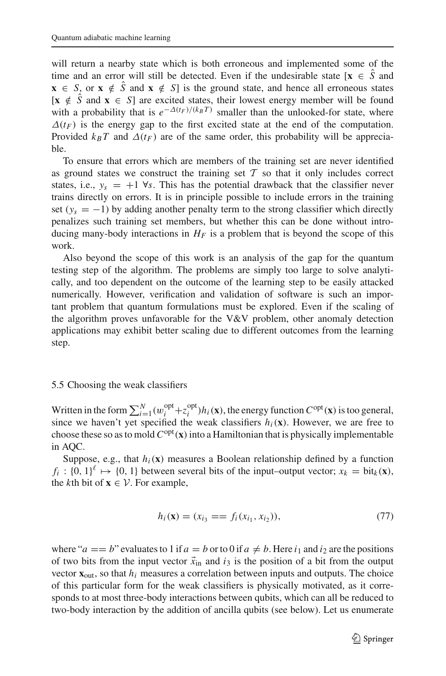will return a nearby state which is both erroneous and implemented some of the time and an error will still be detected. Even if the undesirable state  $[\mathbf{x} \in \hat{S}]$  and **x** ∈ *S*, or **x**  $\notin \hat{S}$  and **x**  $\notin S$  is the ground state, and hence all erroneous states  $[\mathbf{x} \notin \hat{S}]$  and  $\mathbf{x} \in S$  are excited states, their lowest energy member will be found with a probability that is  $e^{-\Delta(t_F)/(k_BT)}$  smaller than the unlooked-for state, where  $\Delta(t_F)$  is the energy gap to the first excited state at the end of the computation. Provided  $k_B T$  and  $\Delta(t_F)$  are of the same order, this probability will be appreciable.

To ensure that errors which are members of the training set are never identified as ground states we construct the training set  $T$  so that it only includes correct states, i.e.,  $y_s = +1$   $\forall s$ . This has the potential drawback that the classifier never trains directly on errors. It is in principle possible to include errors in the training set  $(y_s = -1)$  by adding another penalty term to the strong classifier which directly penalizes such training set members, but whether this can be done without introducing many-body interactions in  $H_F$  is a problem that is beyond the scope of this work.

Also beyond the scope of this work is an analysis of the gap for the quantum testing step of the algorithm. The problems are simply too large to solve analytically, and too dependent on the outcome of the learning step to be easily attacked numerically. However, verification and validation of software is such an important problem that quantum formulations must be explored. Even if the scaling of the algorithm proves unfavorable for the V&V problem, other anomaly detection applications may exhibit better scaling due to different outcomes from the learning step.

# <span id="page-28-1"></span>5.5 Choosing the weak classifiers

Written in the form  $\sum_{i=1}^{N} (w_i^{\text{opt}} + z_i^{\text{opt}})h_i(\mathbf{x})$ , the energy function  $C^{\text{opt}}(\mathbf{x})$  is too general, since we haven't yet specified the weak classifiers  $h_i(\mathbf{x})$ . However, we are free to choose these so as to mold  $C^{opt}(\mathbf{x})$  into a Hamiltonian that is physically implementable in AQC.

Suppose, e.g., that  $h_i(\mathbf{x})$  measures a Boolean relationship defined by a function  $f_i$ :  $\{0, 1\}^{\ell} \mapsto \{0, 1\}$  between several bits of the input–output vector;  $x_k = \text{bit}_k(\mathbf{x})$ , the *k*th bit of  $\mathbf{x} \in \mathcal{V}$ . For example,

$$
h_i(\mathbf{x}) = (x_{i_3} == f_i(x_{i_1}, x_{i_2})),\tag{77}
$$

<span id="page-28-0"></span>where " $a == b$ " evaluates to 1 if  $a = b$  or to 0 if  $a \neq b$ . Here  $i_1$  and  $i_2$  are the positions of two bits from the input vector  $\vec{x}_{in}$  and  $i_3$  is the position of a bit from the output vector  $\mathbf{x}_{\text{out}}$ , so that  $h_i$  measures a correlation between inputs and outputs. The choice of this particular form for the weak classifiers is physically motivated, as it corresponds to at most three-body interactions between qubits, which can all be reduced to two-body interaction by the addition of ancilla qubits (see below). Let us enumerate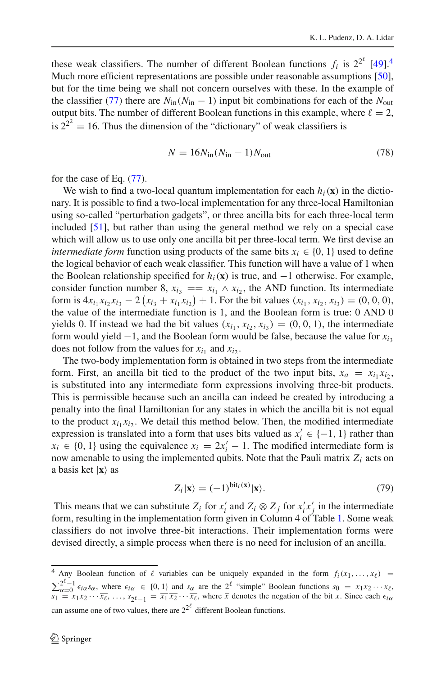these weak classifiers. The number of different Boolean functions  $f_i$  is  $2^{2^{\ell}}$  [\[49\]](#page-43-17).<sup>[4](#page-29-0)</sup> Much more efficient representations are possible under reasonable assumptions [\[50](#page-43-18)], but for the time being we shall not concern ourselves with these. In the example of the classifier [\(77\)](#page-28-0) there are  $N_{\text{in}}(N_{\text{in}} - 1)$  input bit combinations for each of the  $N_{\text{out}}$ output bits. The number of different Boolean functions in this example, where  $\ell = 2$ , is  $2^{2^2} = 16$ . Thus the dimension of the "dictionary" of weak classifiers is

$$
N = 16N_{\rm in}(N_{\rm in} - 1)N_{\rm out} \tag{78}
$$

for the case of Eq. [\(77\)](#page-28-0).

We wish to find a two-local quantum implementation for each  $h_i(\mathbf{x})$  in the dictionary. It is possible to find a two-local implementation for any three-local Hamiltonian using so-called "perturbation gadgets", or three ancilla bits for each three-local term included [\[51](#page-43-19)], but rather than using the general method we rely on a special case which will allow us to use only one ancilla bit per three-local term. We first devise an *intermediate form* function using products of the same bits  $x_i \in \{0, 1\}$  used to define the logical behavior of each weak classifier. This function will have a value of 1 when the Boolean relationship specified for  $h_i(x)$  is true, and  $-1$  otherwise. For example, consider function number 8,  $x_{i_3} == x_{i_1} \wedge x_{i_2}$ , the AND function. Its intermediate form is  $4x_{i_1}x_{i_2}x_{i_3} - 2(x_{i_3} + x_{i_1}x_{i_2}) + 1$ . For the bit values  $(x_{i_1}, x_{i_2}, x_{i_3}) = (0, 0, 0)$ , the value of the intermediate function is 1, and the Boolean form is true: 0 AND 0 yields 0. If instead we had the bit values  $(x_{i_1}, x_{i_2}, x_{i_3}) = (0, 0, 1)$ , the intermediate form would yield  $-1$ , and the Boolean form would be false, because the value for  $x_i$ <sup>3</sup> does not follow from the values for  $x_{i_1}$  and  $x_{i_2}$ .

The two-body implementation form is obtained in two steps from the intermediate form. First, an ancilla bit tied to the product of the two input bits,  $x_a = x_i x_i$ , is substituted into any intermediate form expressions involving three-bit products. This is permissible because such an ancilla can indeed be created by introducing a penalty into the final Hamiltonian for any states in which the ancilla bit is not equal to the product  $x_{i_1}x_{i_2}$ . We detail this method below. Then, the modified intermediate expression is translated into a form that uses bits valued as  $x_i' \in \{-1, 1\}$  rather than  $x_i \in \{0, 1\}$  using the equivalence  $x_i = 2x'_i - 1$ . The modified intermediate form is now amenable to using the implemented qubits. Note that the Pauli matrix  $Z_i$  acts on a basis ket  $|x\rangle$  as

$$
Z_i|\mathbf{x}\rangle = (-1)^{\text{bit}_i(\mathbf{x})}|\mathbf{x}\rangle. \tag{79}
$$

This means that we can substitute  $Z_i$  for  $x'_i$  and  $Z_i \otimes Z_j$  for  $x'_i x'_j$  in the intermediate form, resulting in the implementation form given in Column 4 of Table [1.](#page-30-0) Some weak classifiers do not involve three-bit interactions. Their implementation forms were devised directly, a simple process when there is no need for inclusion of an ancilla.

<span id="page-29-0"></span><sup>&</sup>lt;sup>4</sup> Any Boolean function of  $\ell$  variables can be uniquely expanded in the form  $f_i(x_1,...,x_\ell)$  =  $\sum_{\alpha=0}^{2^{\ell}-1} \epsilon_{i\alpha}s_{\alpha}$ , where  $\epsilon_{i\alpha} \in \{0,1\}$  and  $s_{\alpha}$  are the  $2^{\ell}$  "simple" Boolean functions  $s_0 = x_1x_2 \cdots x_{\ell}$  $s_1 = x_1 x_2 \cdots \overline{x_\ell}, \ldots, s_{2\ell-1} = \overline{x_1} \overline{x_2} \cdots \overline{x_\ell}, \text{ where } \overline{x} \text{ denotes the negation of the bit } x. \text{ Since each } \epsilon_{i\alpha}$ can assume one of two values, there are  $2^{2^{\ell}}$  different Boolean functions.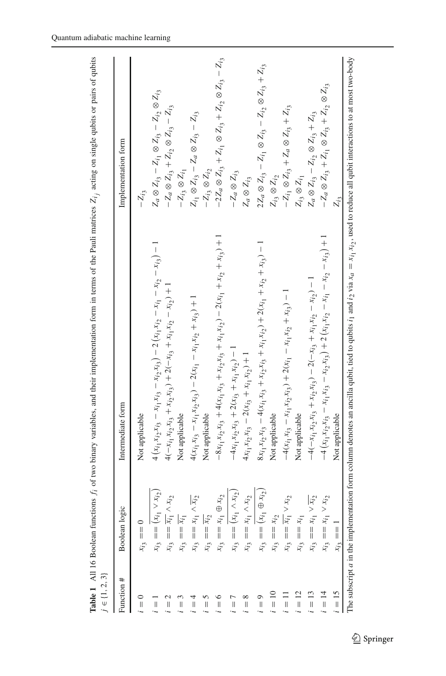<span id="page-30-0"></span>

| $j \in \{1, 2, 3\}$ |                                                                                   |                                                                                                                                                                                                                                          |                                                                                 |
|---------------------|-----------------------------------------------------------------------------------|------------------------------------------------------------------------------------------------------------------------------------------------------------------------------------------------------------------------------------------|---------------------------------------------------------------------------------|
| Function #          | Boolean logic                                                                     | Intermediate form                                                                                                                                                                                                                        | Implementation form                                                             |
| $\mid \mid$         | $\parallel$<br>$x_{i3}$                                                           | Not applicable                                                                                                                                                                                                                           | $-Z_{i_3}$                                                                      |
| $\parallel$         | $\vee x_{i2}$<br>$\langle x_{i_1} \rangle$<br>$\overline{\mathbb{I}}$<br>$x_{i3}$ | $4(x_{i_1}x_{i_2}x_{i_3}-x_{i_1}x_{i_3}-x_{i_2}x_{i_3})-2(x_{i_1}x_{i_2}-x_{i_1}-x_{i_2}-x_{i_3})-1$                                                                                                                                     | $Z_a \otimes Z_{i3} - Z_{i1} \otimes Z_{i3} - Z_{i2} \otimes Z_{i3}$            |
| N<br>$\parallel$    | $x_{i_2}$<br>$x_{i3} == x_{i1} \wedge$                                            | $4(-x_{i_1}x_{i_2}x_{i_3} + x_{i_2}x_{i_3}) + 2(-x_{i_3} + x_{i_1}x_{i_2} - x_{i_2}) + 1$                                                                                                                                                | $-Z_a \otimes Z_{i_3} + Z_{i_2} \otimes Z_{i_3} - Z_{i_3}$                      |
| $\mid \mid$         | $x_{i_3} = x_{i_1}$                                                               | Not applicable                                                                                                                                                                                                                           | $-Z_{i_3}\otimes Z_{i_1}$                                                       |
| $\parallel$         | $\overline{x_{i2}}$<br>$x_{i_3} == x_{i_1} \wedge$                                | $4(x_{i_1}x_{i_3} - x_{i_1}x_{i_2}x_{i_3}) - 2(x_{i_1} - x_{i_1}x_{i_2} + x_{i_3}) + 1$                                                                                                                                                  | $Z_{i_1} \otimes Z_{i_3} - Z_a \otimes Z_{i_3} - Z_{i_3}$                       |
| $\mid \mid$         | $x_{i_3} = x_{i_2}$                                                               | Not applicable                                                                                                                                                                                                                           | $-Z_{i_3}\otimes Z_{i_2}$                                                       |
| ∘<br>$\parallel$    | $x_{i3} == x_{i1} \oplus x_{i2}$                                                  | $-8x_{i_1}x_{i_2}x_{i_3} + 4(x_{i_1}x_{i_3} + x_{i_2}x_{i_3} + x_{i_1}x_{i_2}) - 2(x_{i_1} + x_{i_2} + x_{i_3}) + 1$                                                                                                                     | $-2Z_a \otimes Z_{i3} + Z_{i1} \otimes Z_{i3} + Z_{i2} \otimes Z_{i3} - Z_{i3}$ |
| $\mid \mid$         | $==(x_{i_1}\wedge x_{i_2})$<br>$x_{i3}$                                           | $-4x_{i_1}x_{i_2}x_{i_3} + 2(x_{i_3} + x_{i_1}x_{i_2}) - 1$                                                                                                                                                                              | $-Z_a\otimes Z_{i_3}$                                                           |
| ∞<br>$\mid \mid$    | $x_{i2}$<br>$x_{i3} = x_{i1}$                                                     | $4x_{i_1}x_{i_2}x_{i_3} - 2(x_{i_3} + x_{i_1}x_{i_2}) + 1$                                                                                                                                                                               | $Z_a \otimes Z_{i_3}$                                                           |
| σ<br>$\mid$         | . $\oplus x_{i2})$<br>$x_{i_3} == (x_{i_1})$                                      | $8x_{i_1}x_{i_2}x_{i_3} - 4(x_{i_1}x_{i_3} + x_{i_2}x_{i_3} + x_{i_1}x_{i_2}) + 2(x_{i_1} + x_{i_2} + x_{i_3}) - 1$                                                                                                                      | $2Z_a \otimes Z_{i3} - Z_{i1} \otimes Z_{i3} - Z_{i2} \otimes Z_{i3} + Z_{i3}$  |
| $\frac{1}{10}$      | $x_{i3} = x_{i2}$                                                                 | Not applicable                                                                                                                                                                                                                           | $Z_{i\gamma}\otimes Z_{i\gamma}$                                                |
| $\frac{1}{2}$       | $x_{i_3} = x_{i_1} \vee x_{i_2}$                                                  | $-4(x_{i_1}x_{i_3}-x_{i_1}x_{i_2}x_{i_3})+2(x_{i_1}-x_{i_1}x_{i_2}+x_{i_3})-1$                                                                                                                                                           | $-Z_{i_1} \otimes Z_{i_3} + Z_a \otimes Z_{i_3} + Z_{i_3}$                      |
| $i = 12$            | $x_{i_3} == x_{i_1}$                                                              | Not applicable                                                                                                                                                                                                                           | $Z_{i\chi}\otimes Z_{i\chi}$                                                    |
| $= 13$              | $x_{i_3} == x_{i_1} \vee \overline{x_{i_2}}$                                      | $-4(-x_{i_1}x_{i_2}x_{i_3} + x_{i_2}x_{i_3}) - 2(-x_{i_3} + x_{i_1}x_{i_2} - x_{i_2}) - 1$                                                                                                                                               | $Z_a \otimes Z_{i3} - Z_{i2} \otimes Z_{i3} + Z_{i3}$                           |
| $i = 14$            | $x_{i_3} == x_{i_1} \vee x_{i_2}$                                                 | $-4(x_{i_1}x_{i_2}x_{i_3}-x_{i_1}x_{i_3}-x_{i_2}x_{i_3})+2(x_{i_1}x_{i_2}-x_{i_1}-x_{i_2}-x_{i_3})+1$                                                                                                                                    | $-Z_a \otimes Z_{i3} + Z_{i1} \otimes Z_{i3} + Z_{i2} \otimes Z_{i3}$           |
| $i = 15$            | $x_{i_3} ==$                                                                      | Not applicable                                                                                                                                                                                                                           | Z <sub>i3</sub>                                                                 |
|                     |                                                                                   | The subscript <i>a</i> in the implementation form column denotes an ancilla qubit, tied to qubits <i>i</i> <sub>1</sub> and <i>i</i> <sub>2</sub> via $x_a = x_{i_1}x_{i_2}$ , used to reduce all qubit interactions to at most two-body |                                                                                 |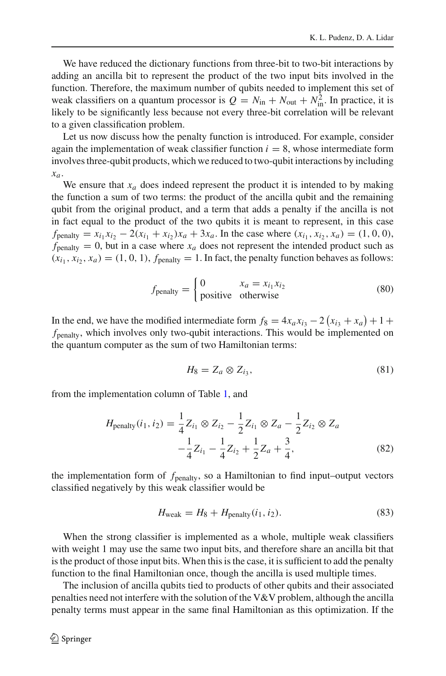We have reduced the dictionary functions from three-bit to two-bit interactions by adding an ancilla bit to represent the product of the two input bits involved in the function. Therefore, the maximum number of qubits needed to implement this set of weak classifiers on a quantum processor is  $Q = N_{\text{in}} + N_{\text{out}} + N_{\text{in}}^2$ . In practice, it is likely to be significantly less because not every three-bit correlation will be relevant to a given classification problem.

Let us now discuss how the penalty function is introduced. For example, consider again the implementation of weak classifier function  $i = 8$ , whose intermediate form involves three-qubit products, which we reduced to two-qubit interactions by including *xa*.

We ensure that *xa* does indeed represent the product it is intended to by making the function a sum of two terms: the product of the ancilla qubit and the remaining qubit from the original product, and a term that adds a penalty if the ancilla is not in fact equal to the product of the two qubits it is meant to represent, in this case  $f_{\text{penalty}} = x_{i_1} x_{i_2} - 2(x_{i_1} + x_{i_2}) x_a + 3x_a$ . In the case where  $(x_{i_1}, x_{i_2}, x_a) = (1, 0, 0)$ ,  $f_{\text{penalty}} = 0$ , but in a case where  $x_a$  does not represent the intended product such as  $(x_{i_1}, x_{i_2}, x_a) = (1, 0, 1), f_{\text{penalty}} = 1$ . In fact, the penalty function behaves as follows:

$$
f_{\text{penalty}} = \begin{cases} 0 & x_a = x_{i_1} x_{i_2} \\ \text{positive} & \text{otherwise} \end{cases}
$$
 (80)

In the end, we have the modified intermediate form  $f_8 = 4x_a x_{i_3} - 2(x_{i_3} + x_a) + 1 +$ *f*penalty, which involves only two-qubit interactions. This would be implemented on the quantum computer as the sum of two Hamiltonian terms:

$$
H_8 = Z_a \otimes Z_{i_3},\tag{81}
$$

from the implementation column of Table [1,](#page-30-0) and

$$
H_{\text{penalty}}(i_1, i_2) = \frac{1}{4} Z_{i_1} \otimes Z_{i_2} - \frac{1}{2} Z_{i_1} \otimes Z_a - \frac{1}{2} Z_{i_2} \otimes Z_a
$$
  

$$
-\frac{1}{4} Z_{i_1} - \frac{1}{4} Z_{i_2} + \frac{1}{2} Z_a + \frac{3}{4},
$$
 (82)

the implementation form of *f*penalty, so a Hamiltonian to find input–output vectors classified negatively by this weak classifier would be

$$
H_{\text{weak}} = H_8 + H_{\text{penalty}}(i_1, i_2). \tag{83}
$$

When the strong classifier is implemented as a whole, multiple weak classifiers with weight 1 may use the same two input bits, and therefore share an ancilla bit that is the product of those input bits. When this is the case, it is sufficient to add the penalty function to the final Hamiltonian once, though the ancilla is used multiple times.

The inclusion of ancilla qubits tied to products of other qubits and their associated penalties need not interfere with the solution of the V&V problem, although the ancilla penalty terms must appear in the same final Hamiltonian as this optimization. If the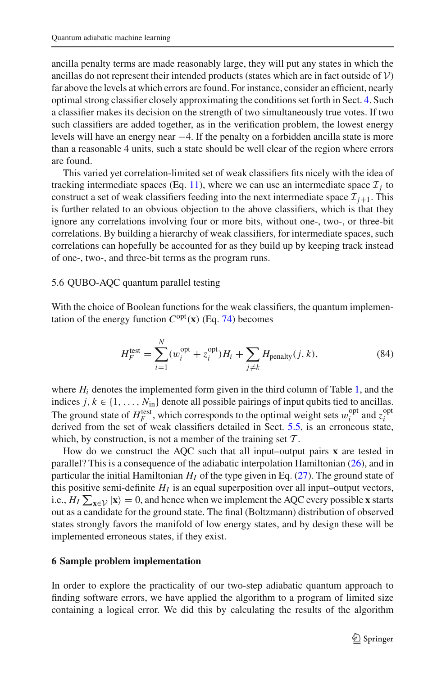ancilla penalty terms are made reasonably large, they will put any states in which the ancillas do not represent their intended products (states which are in fact outside of *V*) far above the levels at which errors are found. For instance, consider an efficient, nearly optimal strong classifier closely approximating the conditions set forth in Sect. [4.](#page-13-0) Such a classifier makes its decision on the strength of two simultaneously true votes. If two such classifiers are added together, as in the verification problem, the lowest energy levels will have an energy near −4. If the penalty on a forbidden ancilla state is more than a reasonable 4 units, such a state should be well clear of the region where errors are found.

This varied yet correlation-limited set of weak classifiers fits nicely with the idea of tracking intermediate spaces (Eq. [11\)](#page-6-3), where we can use an intermediate space  $\mathcal{I}_i$  to construct a set of weak classifiers feeding into the next intermediate space  $\mathcal{I}_{i+1}$ . This is further related to an obvious objection to the above classifiers, which is that they ignore any correlations involving four or more bits, without one-, two-, or three-bit correlations. By building a hierarchy of weak classifiers, for intermediate spaces, such correlations can hopefully be accounted for as they build up by keeping track instead of one-, two-, and three-bit terms as the program runs.

# 5.6 QUBO-AQC quantum parallel testing

With the choice of Boolean functions for the weak classifiers, the quantum implementation of the energy function  $C^{opt}(\mathbf{x})$  (Eq. [74\)](#page-27-1) becomes

$$
H_F^{\text{test}} = \sum_{i=1}^{N} (w_i^{\text{opt}} + z_i^{\text{opt}}) H_i + \sum_{j \neq k} H_{\text{penalty}}(j, k), \tag{84}
$$

<span id="page-32-1"></span>where  $H_i$  denotes the implemented form given in the third column of Table [1,](#page-30-0) and the indices  $j, k \in \{1, \ldots, N_{\text{in}}\}$  denote all possible pairings of input qubits tied to ancillas. The ground state of  $H_F^{\text{test}}$ , which corresponds to the optimal weight sets  $w_i^{\text{opt}}$  and  $z_i^{\text{opt}}$ *i* derived from the set of weak classifiers detailed in Sect. [5.5,](#page-28-1) is an erroneous state, which, by construction, is not a member of the training set *T* .

How do we construct the AQC such that all input–output pairs **x** are tested in parallel? This is a consequence of the adiabatic interpolation Hamiltonian [\(26\)](#page-11-2), and in particular the initial Hamiltonian  $H<sub>I</sub>$  of the type given in Eq. [\(27\)](#page-11-3). The ground state of this positive semi-definite  $H_I$  is an equal superposition over all input–output vectors, i.e.,  $H_I \sum_{\mathbf{x} \in \mathcal{V}} |\mathbf{x}\rangle = 0$ , and hence when we implement the AQC every possible **x** starts out as a candidate for the ground state. The final (Boltzmann) distribution of observed states strongly favors the manifold of low energy states, and by design these will be implemented erroneous states, if they exist.

# <span id="page-32-0"></span>**6 Sample problem implementation**

In order to explore the practicality of our two-step adiabatic quantum approach to finding software errors, we have applied the algorithm to a program of limited size containing a logical error. We did this by calculating the results of the algorithm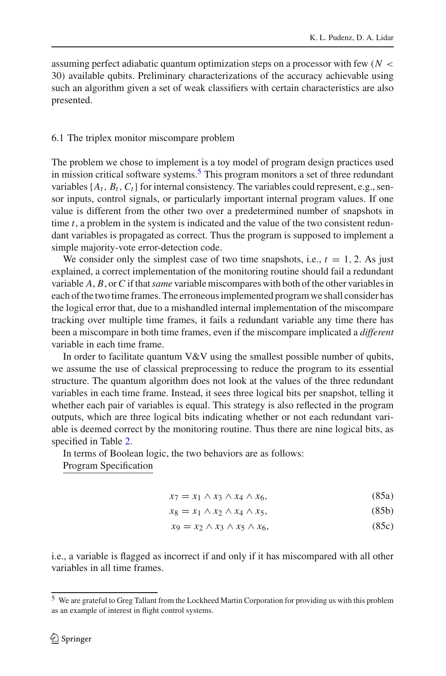assuming perfect adiabatic quantum optimization steps on a processor with few (*N* < 30) available qubits. Preliminary characterizations of the accuracy achievable using such an algorithm given a set of weak classifiers with certain characteristics are also presented.

#### <span id="page-33-1"></span>6.1 The triplex monitor miscompare problem

The problem we chose to implement is a toy model of program design practices used in mission critical software systems.<sup>5</sup> This program monitors a set of three redundant variables  $\{A_t, B_t, C_t\}$  for internal consistency. The variables could represent, e.g., sensor inputs, control signals, or particularly important internal program values. If one value is different from the other two over a predetermined number of snapshots in time *t*, a problem in the system is indicated and the value of the two consistent redundant variables is propagated as correct. Thus the program is supposed to implement a simple majority-vote error-detection code.

We consider only the simplest case of two time snapshots, i.e.,  $t = 1, 2$ . As just explained, a correct implementation of the monitoring routine should fail a redundant variable *A*, *B*, or*C* if that*same* variable miscompares with both of the other variables in each of the two time frames. The erroneous implemented program we shall consider has the logical error that, due to a mishandled internal implementation of the miscompare tracking over multiple time frames, it fails a redundant variable any time there has been a miscompare in both time frames, even if the miscompare implicated a *different* variable in each time frame.

In order to facilitate quantum  $V&V$  using the smallest possible number of qubits, we assume the use of classical preprocessing to reduce the program to its essential structure. The quantum algorithm does not look at the values of the three redundant variables in each time frame. Instead, it sees three logical bits per snapshot, telling it whether each pair of variables is equal. This strategy is also reflected in the program outputs, which are three logical bits indicating whether or not each redundant variable is deemed correct by the monitoring routine. Thus there are nine logical bits, as specified in Table [2.](#page-34-0)

In terms of Boolean logic, the two behaviors are as follows: Program Specification

$$
x_7 = x_1 \wedge x_3 \wedge x_4 \wedge x_6, \tag{85a}
$$

$$
x_8 = x_1 \wedge x_2 \wedge x_4 \wedge x_5, \tag{85b}
$$

$$
x_9 = x_2 \wedge x_3 \wedge x_5 \wedge x_6, \tag{85c}
$$

i.e., a variable is flagged as incorrect if and only if it has miscompared with all other variables in all time frames.

<span id="page-33-0"></span><sup>5</sup> We are grateful to Greg Tallant from the Lockheed Martin Corporation for providing us with this problem as an example of interest in flight control systems.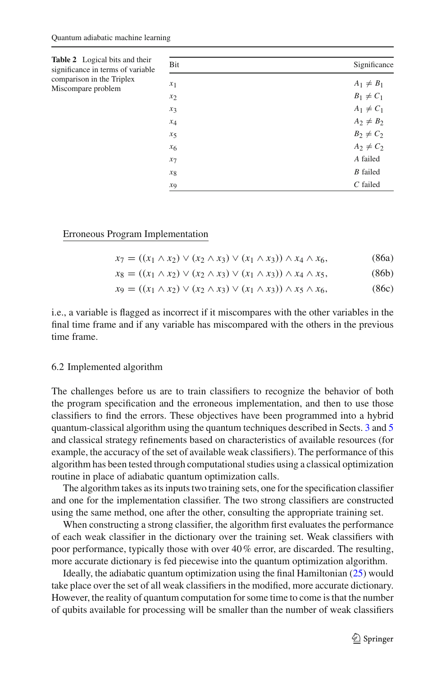<span id="page-34-0"></span>

| <b>Table 2</b> Logical bits and their<br>significance in terms of variable<br>comparison in the Triplex<br>Miscompare problem | Bit   | Significance    |
|-------------------------------------------------------------------------------------------------------------------------------|-------|-----------------|
|                                                                                                                               | $x_1$ | $A_1 \neq B_1$  |
|                                                                                                                               | $x_2$ | $B_1 \neq C_1$  |
|                                                                                                                               | $x_3$ | $A_1 \neq C_1$  |
|                                                                                                                               | $x_4$ | $A_2 \neq B_2$  |
|                                                                                                                               | $x_5$ | $B_2 \neq C_2$  |
|                                                                                                                               | $x_6$ | $A_2 \neq C_2$  |
|                                                                                                                               | $x_7$ | A failed        |
|                                                                                                                               | $x_8$ | <b>B</b> failed |
|                                                                                                                               | $x_9$ | $C$ failed      |

# Erroneous Program Implementation

| $x_7 = ((x_1 \wedge x_2) \vee (x_2 \wedge x_3) \vee (x_1 \wedge x_3)) \wedge x_4 \wedge x_6,$ |  | (86a) |
|-----------------------------------------------------------------------------------------------|--|-------|
|-----------------------------------------------------------------------------------------------|--|-------|

 $x_8 = ((x_1 \land x_2) \lor (x_2 \land x_3) \lor (x_1 \land x_3)) \land x_4 \land x_5,$  (86b)

$$
x_9 = ((x_1 \wedge x_2) \vee (x_2 \wedge x_3) \vee (x_1 \wedge x_3)) \wedge x_5 \wedge x_6, \tag{86c}
$$

i.e., a variable is flagged as incorrect if it miscompares with the other variables in the final time frame and if any variable has miscompared with the others in the previous time frame.

# <span id="page-34-1"></span>6.2 Implemented algorithm

The challenges before us are to train classifiers to recognize the behavior of both the program specification and the erroneous implementation, and then to use those classifiers to find the errors. These objectives have been programmed into a hybrid quantum-classical algorithm using the quantum techniques described in Sects. [3](#page-6-0) and [5](#page-24-0) and classical strategy refinements based on characteristics of available resources (for example, the accuracy of the set of available weak classifiers). The performance of this algorithm has been tested through computational studies using a classical optimization routine in place of adiabatic quantum optimization calls.

The algorithm takes as its inputs two training sets, one for the specification classifier and one for the implementation classifier. The two strong classifiers are constructed using the same method, one after the other, consulting the appropriate training set.

When constructing a strong classifier, the algorithm first evaluates the performance of each weak classifier in the dictionary over the training set. Weak classifiers with poor performance, typically those with over 40% error, are discarded. The resulting, more accurate dictionary is fed piecewise into the quantum optimization algorithm.

Ideally, the adiabatic quantum optimization using the final Hamiltonian [\(25\)](#page-11-0) would take place over the set of all weak classifiers in the modified, more accurate dictionary. However, the reality of quantum computation for some time to come is that the number of qubits available for processing will be smaller than the number of weak classifiers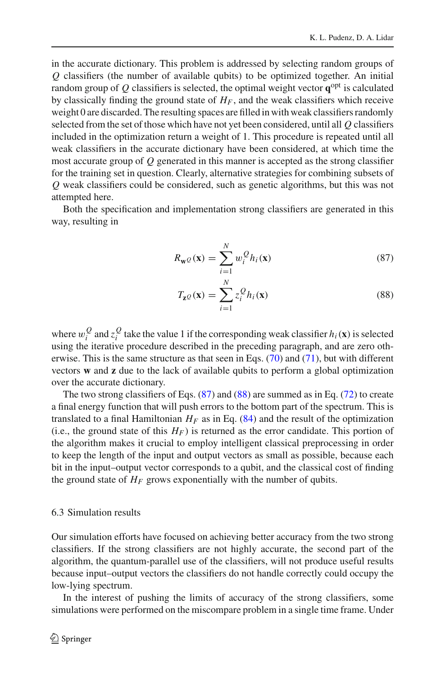in the accurate dictionary. This problem is addressed by selecting random groups of *Q* classifiers (the number of available qubits) to be optimized together. An initial random group of  $Q$  classifiers is selected, the optimal weight vector  $\mathbf{q}^{\text{opt}}$  is calculated by classically finding the ground state of  $H_F$ , and the weak classifiers which receive weight 0 are discarded. The resulting spaces are filled in with weak classifiers randomly selected from the set of those which have not yet been considered, until all *Q* classifiers included in the optimization return a weight of 1. This procedure is repeated until all weak classifiers in the accurate dictionary have been considered, at which time the most accurate group of *Q* generated in this manner is accepted as the strong classifier for the training set in question. Clearly, alternative strategies for combining subsets of *Q* weak classifiers could be considered, such as genetic algorithms, but this was not attempted here.

<span id="page-35-0"></span>Both the specification and implementation strong classifiers are generated in this way, resulting in

$$
R_{\mathbf{w}}\varrho(\mathbf{x}) = \sum_{i=1}^{N} w_i^{\mathcal{Q}} h_i(\mathbf{x})
$$
\n(87)

$$
T_{\mathbf{z}}\varrho(\mathbf{x}) = \sum_{i=1}^{N} z_i^{\mathcal{Q}} h_i(\mathbf{x})
$$
\n(88)

where  $w_i^Q$  and  $z_i^Q$  take the value 1 if the corresponding weak classifier  $h_i(\mathbf{x})$  is selected using the iterative procedure described in the preceding paragraph, and are zero otherwise. This is the same structure as that seen in Eqs.  $(70)$  and  $(71)$ , but with different vectors **w** and **z** due to the lack of available qubits to perform a global optimization over the accurate dictionary.

The two strong classifiers of Eqs. [\(87\)](#page-35-0) and [\(88\)](#page-35-0) are summed as in Eq. [\(72\)](#page-26-1) to create a final energy function that will push errors to the bottom part of the spectrum. This is translated to a final Hamiltonian  $H_F$  as in Eq. [\(84\)](#page-32-1) and the result of the optimization (i.e., the ground state of this  $H_F$ ) is returned as the error candidate. This portion of the algorithm makes it crucial to employ intelligent classical preprocessing in order to keep the length of the input and output vectors as small as possible, because each bit in the input–output vector corresponds to a qubit, and the classical cost of finding the ground state of  $H_F$  grows exponentially with the number of qubits.

#### 6.3 Simulation results

Our simulation efforts have focused on achieving better accuracy from the two strong classifiers. If the strong classifiers are not highly accurate, the second part of the algorithm, the quantum-parallel use of the classifiers, will not produce useful results because input–output vectors the classifiers do not handle correctly could occupy the low-lying spectrum.

In the interest of pushing the limits of accuracy of the strong classifiers, some simulations were performed on the miscompare problem in a single time frame. Under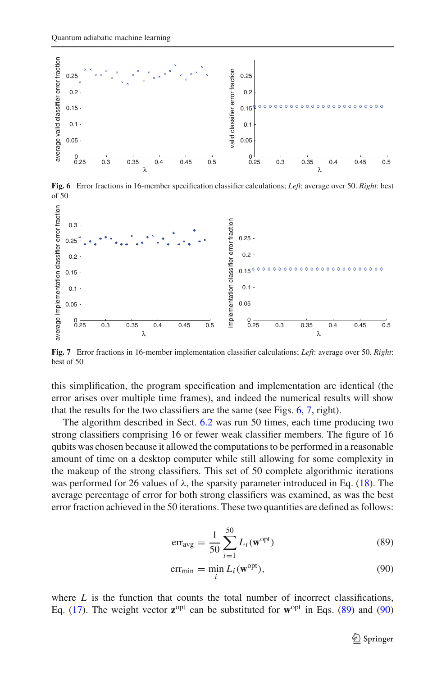

**Fig. 6** Error fractions in 16-member specification classifier calculations; *Left*: average over 50. *Right*: best of 50

<span id="page-36-0"></span>

<span id="page-36-1"></span>**Fig. 7** Error fractions in 16-member implementation classifier calculations; *Left*: average over 50. *Right*: best of 50

this simplification, the program specification and implementation are identical (the error arises over multiple time frames), and indeed the numerical results will show that the results for the two classifiers are the same (see Figs. [6,](#page-36-0) [7,](#page-36-1) right).

The algorithm described in Sect. [6.2](#page-34-1) was run 50 times, each time producing two strong classifiers comprising 16 or fewer weak classifier members. The figure of 16 qubits was chosen because it allowed the computations to be performed in a reasonable amount of time on a desktop computer while still allowing for some complexity in the makeup of the strong classifiers. This set of 50 complete algorithmic iterations was performed for 26 values of  $\lambda$ , the sparsity parameter introduced in Eq. [\(18\)](#page-9-0). The average percentage of error for both strong classifiers was examined, as was the best error fraction achieved in the 50 iterations. These two quantities are defined as follows:

$$
err_{avg} = \frac{1}{50} \sum_{i=1}^{50} L_i(\mathbf{w}^{\text{opt}})
$$
 (89)

$$
err_{\min} = \min_{i} L_i(\mathbf{w}^{\text{opt}}),\tag{90}
$$

<span id="page-36-2"></span>where *L* is the function that counts the total number of incorrect classifications, Eq. [\(17\)](#page-9-2). The weight vector  $z^{\text{opt}}$  can be substituted for  $w^{\text{opt}}$  in Eqs. [\(89\)](#page-36-2) and [\(90\)](#page-36-2)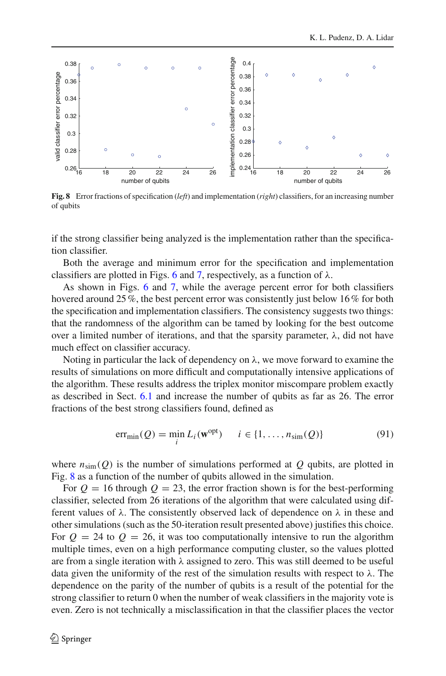

<span id="page-37-0"></span>**Fig. 8** Error fractions of specification (*left*) and implementation (*right*) classifiers, for an increasing number of qubits

if the strong classifier being analyzed is the implementation rather than the specification classifier.

Both the average and minimum error for the specification and implementation classifiers are plotted in Figs. [6](#page-36-0) and [7,](#page-36-1) respectively, as a function of  $\lambda$ .

As shown in Figs. [6](#page-36-0) and [7,](#page-36-1) while the average percent error for both classifiers hovered around 25%, the best percent error was consistently just below 16% for both the specification and implementation classifiers. The consistency suggests two things: that the randomness of the algorithm can be tamed by looking for the best outcome over a limited number of iterations, and that the sparsity parameter,  $\lambda$ , did not have much effect on classifier accuracy.

Noting in particular the lack of dependency on  $\lambda$ , we move forward to examine the results of simulations on more difficult and computationally intensive applications of the algorithm. These results address the triplex monitor miscompare problem exactly as described in Sect. [6.1](#page-33-1) and increase the number of qubits as far as 26. The error fractions of the best strong classifiers found, defined as

$$
err_{\min}(Q) = \min_{i} L_i(\mathbf{w}^{\text{opt}}) \quad i \in \{1, ..., n_{\text{sim}}(Q)\}
$$
 (91)

where  $n_{\text{sim}}(Q)$  is the number of simulations performed at Q qubits, are plotted in Fig. [8](#page-37-0) as a function of the number of qubits allowed in the simulation.

For  $Q = 16$  through  $Q = 23$ , the error fraction shown is for the best-performing classifier, selected from 26 iterations of the algorithm that were calculated using different values of  $\lambda$ . The consistently observed lack of dependence on  $\lambda$  in these and other simulations (such as the 50-iteration result presented above) justifies this choice. For  $Q = 24$  to  $Q = 26$ , it was too computationally intensive to run the algorithm multiple times, even on a high performance computing cluster, so the values plotted are from a single iteration with  $\lambda$  assigned to zero. This was still deemed to be useful data given the uniformity of the rest of the simulation results with respect to  $\lambda$ . The dependence on the parity of the number of qubits is a result of the potential for the strong classifier to return 0 when the number of weak classifiers in the majority vote is even. Zero is not technically a misclassification in that the classifier places the vector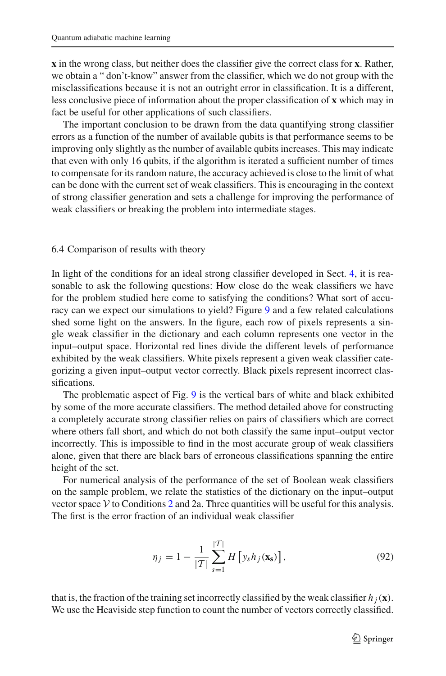**x** in the wrong class, but neither does the classifier give the correct class for **x**. Rather, we obtain a " don't-know" answer from the classifier, which we do not group with the misclassifications because it is not an outright error in classification. It is a different, less conclusive piece of information about the proper classification of **x** which may in fact be useful for other applications of such classifiers.

The important conclusion to be drawn from the data quantifying strong classifier errors as a function of the number of available qubits is that performance seems to be improving only slightly as the number of available qubits increases. This may indicate that even with only 16 qubits, if the algorithm is iterated a sufficient number of times to compensate for its random nature, the accuracy achieved is close to the limit of what can be done with the current set of weak classifiers. This is encouraging in the context of strong classifier generation and sets a challenge for improving the performance of weak classifiers or breaking the problem into intermediate stages.

#### 6.4 Comparison of results with theory

In light of the conditions for an ideal strong classifier developed in Sect. [4,](#page-13-0) it is reasonable to ask the following questions: How close do the weak classifiers we have for the problem studied here come to satisfying the conditions? What sort of accuracy can we expect our simulations to yield? Figure [9](#page-39-0) and a few related calculations shed some light on the answers. In the figure, each row of pixels represents a single weak classifier in the dictionary and each column represents one vector in the input–output space. Horizontal red lines divide the different levels of performance exhibited by the weak classifiers. White pixels represent a given weak classifier categorizing a given input–output vector correctly. Black pixels represent incorrect classifications.

The problematic aspect of Fig. [9](#page-39-0) is the vertical bars of white and black exhibited by some of the more accurate classifiers. The method detailed above for constructing a completely accurate strong classifier relies on pairs of classifiers which are correct where others fall short, and which do not both classify the same input–output vector incorrectly. This is impossible to find in the most accurate group of weak classifiers alone, given that there are black bars of erroneous classifications spanning the entire height of the set.

For numerical analysis of the performance of the set of Boolean weak classifiers on the sample problem, we relate the statistics of the dictionary on the input–output vector space  $\mathcal V$  to Conditions [2](#page-15-0) and 2a. Three quantities will be useful for this analysis. The first is the error fraction of an individual weak classifier

$$
\eta_j = 1 - \frac{1}{|T|} \sum_{s=1}^{|T|} H\left[y_s h_j(\mathbf{x}_s)\right],\tag{92}
$$

<span id="page-38-0"></span>that is, the fraction of the training set incorrectly classified by the weak classifier  $h_i(\mathbf{x})$ . We use the Heaviside step function to count the number of vectors correctly classified.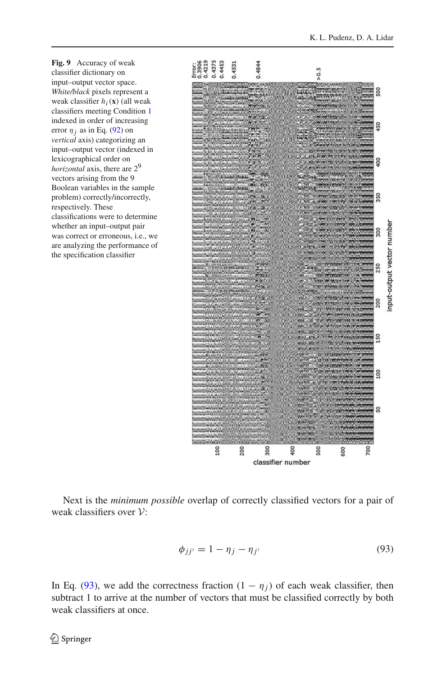<span id="page-39-0"></span>



Next is the *minimum possible* overlap of correctly classified vectors for a pair of weak classifiers over *V*:

$$
\phi_{jj'} = 1 - \eta_j - \eta_{j'}
$$
\n(93)

<span id="page-39-1"></span>In Eq. [\(93\)](#page-39-1), we add the correctness fraction  $(1 - \eta_i)$  of each weak classifier, then subtract 1 to arrive at the number of vectors that must be classified correctly by both weak classifiers at once.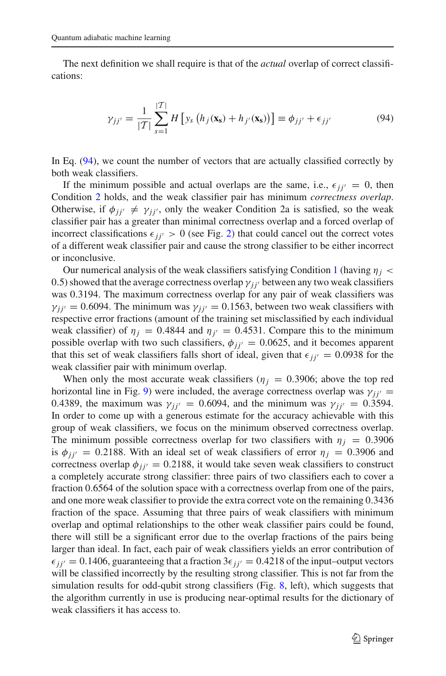The next definition we shall require is that of the *actual* overlap of correct classifications:

$$
\gamma_{jj'} = \frac{1}{|T|} \sum_{s=1}^{|T|} H\left[y_s \left(h_j(\mathbf{x_s}) + h_{j'}(\mathbf{x_s})\right)\right] \equiv \phi_{jj'} + \epsilon_{jj'}
$$
(94)

<span id="page-40-0"></span>In Eq. [\(94\)](#page-40-0), we count the number of vectors that are actually classified correctly by both weak classifiers.

If the minimum possible and actual overlaps are the same, i.e.,  $\epsilon_{jj'} = 0$ , then Condition [2](#page-15-0) holds, and the weak classifier pair has minimum *correctness overlap*. Otherwise, if  $\phi_{jj'} \neq \gamma_{jj'}$ , only the weaker Condition 2a is satisfied, so the weak classifier pair has a greater than minimal correctness overlap and a forced overlap of incorrect classifications  $\epsilon_{jj'} > 0$  (see Fig. [2\)](#page-16-0) that could cancel out the correct votes of a different weak classifier pair and cause the strong classifier to be either incorrect or inconclusive.

Our numerical analysis of the weak classifiers satisfying Condition [1](#page-14-0) (having  $\eta_i$  < 0.5) showed that the average correctness overlap  $\gamma_{ii'}$  between any two weak classifiers was 0.3194. The maximum correctness overlap for any pair of weak classifiers was  $\gamma_{ji'} = 0.6094$ . The minimum was  $\gamma_{ji'} = 0.1563$ , between two weak classifiers with respective error fractions (amount of the training set misclassified by each individual weak classifier) of  $\eta_i = 0.4844$  and  $\eta_{i'} = 0.4531$ . Compare this to the minimum possible overlap with two such classifiers,  $\phi_{ji'} = 0.0625$ , and it becomes apparent that this set of weak classifiers falls short of ideal, given that  $\epsilon_{jj'} = 0.0938$  for the weak classifier pair with minimum overlap.

When only the most accurate weak classifiers ( $\eta_j = 0.3906$ ; above the top red horizontal line in Fig. [9\)](#page-39-0) were included, the average correctness overlap was  $\gamma_{ii'} =$ 0.4389, the maximum was  $\gamma_{ii'} = 0.6094$ , and the minimum was  $\gamma_{ii'} = 0.3594$ . In order to come up with a generous estimate for the accuracy achievable with this group of weak classifiers, we focus on the minimum observed correctness overlap. The minimum possible correctness overlap for two classifiers with  $\eta_j = 0.3906$ is  $\phi_{jj'} = 0.2188$ . With an ideal set of weak classifiers of error  $\eta_j = 0.3906$  and correctness overlap  $\phi_{ji'} = 0.2188$ , it would take seven weak classifiers to construct a completely accurate strong classifier: three pairs of two classifiers each to cover a fraction 0.6564 of the solution space with a correctness overlap from one of the pairs, and one more weak classifier to provide the extra correct vote on the remaining 0.3436 fraction of the space. Assuming that three pairs of weak classifiers with minimum overlap and optimal relationships to the other weak classifier pairs could be found, there will still be a significant error due to the overlap fractions of the pairs being larger than ideal. In fact, each pair of weak classifiers yields an error contribution of  $\epsilon_{ji'} = 0.1406$ , guaranteeing that a fraction  $3\epsilon_{ji'} = 0.4218$  of the input–output vectors will be classified incorrectly by the resulting strong classifier. This is not far from the simulation results for odd-qubit strong classifiers (Fig. [8,](#page-37-0) left), which suggests that the algorithm currently in use is producing near-optimal results for the dictionary of weak classifiers it has access to.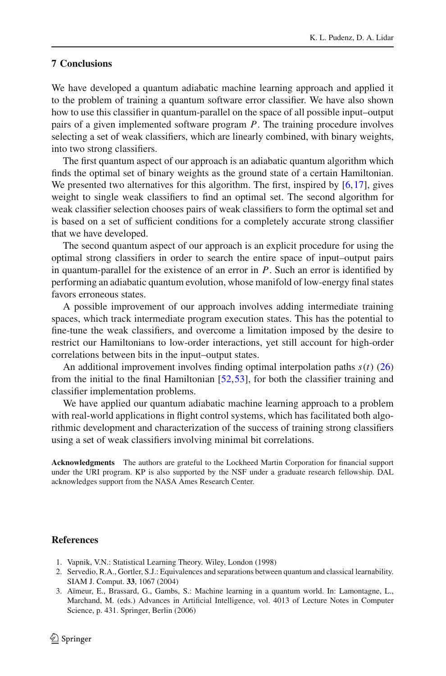# <span id="page-41-3"></span>**7 Conclusions**

We have developed a quantum adiabatic machine learning approach and applied it to the problem of training a quantum software error classifier. We have also shown how to use this classifier in quantum-parallel on the space of all possible input–output pairs of a given implemented software program *P*. The training procedure involves selecting a set of weak classifiers, which are linearly combined, with binary weights, into two strong classifiers.

The first quantum aspect of our approach is an adiabatic quantum algorithm which finds the optimal set of binary weights as the ground state of a certain Hamiltonian. We presented two alternatives for this algorithm. The first, inspired by  $[6,17]$  $[6,17]$  $[6,17]$ , gives weight to single weak classifiers to find an optimal set. The second algorithm for weak classifier selection chooses pairs of weak classifiers to form the optimal set and is based on a set of sufficient conditions for a completely accurate strong classifier that we have developed.

The second quantum aspect of our approach is an explicit procedure for using the optimal strong classifiers in order to search the entire space of input–output pairs in quantum-parallel for the existence of an error in *P*. Such an error is identified by performing an adiabatic quantum evolution, whose manifold of low-energy final states favors erroneous states.

A possible improvement of our approach involves adding intermediate training spaces, which track intermediate program execution states. This has the potential to fine-tune the weak classifiers, and overcome a limitation imposed by the desire to restrict our Hamiltonians to low-order interactions, yet still account for high-order correlations between bits in the input–output states.

An additional improvement involves finding optimal interpolation paths  $s(t)$  [\(26\)](#page-11-2) from the initial to the final Hamiltonian [\[52](#page-43-20)[,53](#page-43-21)], for both the classifier training and classifier implementation problems.

We have applied our quantum adiabatic machine learning approach to a problem with real-world applications in flight control systems, which has facilitated both algorithmic development and characterization of the success of training strong classifiers using a set of weak classifiers involving minimal bit correlations.

**Acknowledgments** The authors are grateful to the Lockheed Martin Corporation for financial support under the URI program. KP is also supported by the NSF under a graduate research fellowship. DAL acknowledges support from the NASA Ames Research Center.

## <span id="page-41-0"></span>**References**

- 1. Vapnik, V.N.: Statistical Learning Theory. Wiley, London (1998)
- <span id="page-41-1"></span>2. Servedio, R.A., Gortler, S.J.: Equivalences and separations between quantum and classical learnability. SIAM J. Comput. **33**, 1067 (2004)
- <span id="page-41-2"></span>3. Aïmeur, E., Brassard, G., Gambs, S.: Machine learning in a quantum world. In: Lamontagne, L., Marchand, M. (eds.) Advances in Artificial Intelligence, vol. 4013 of Lecture Notes in Computer Science, p. 431. Springer, Berlin (2006)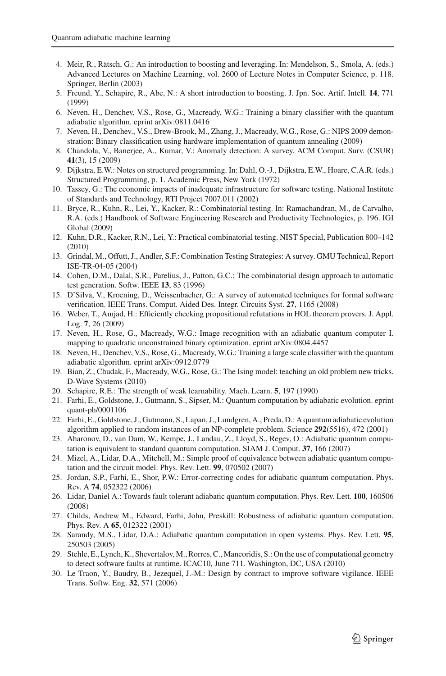- <span id="page-42-0"></span>4. Meir, R., Rätsch, G.: An introduction to boosting and leveraging. In: Mendelson, S., Smola, A. (eds.) Advanced Lectures on Machine Learning, vol. 2600 of Lecture Notes in Computer Science, p. 118. Springer, Berlin (2003)
- <span id="page-42-1"></span>5. Freund, Y., Schapire, R., Abe, N.: A short introduction to boosting. J. Jpn. Soc. Artif. Intell. **14**, 771 (1999)
- <span id="page-42-2"></span>6. Neven, H., Denchev, V.S., Rose, G., Macready, W.G.: Training a binary classifier with the quantum adiabatic algorithm. eprint arXiv:0811.0416
- <span id="page-42-3"></span>7. Neven, H., Denchev., V.S., Drew-Brook, M., Zhang, J., Macready, W.G., Rose, G.: NIPS 2009 demonstration: Binary classification using hardware implementation of quantum annealing (2009)
- <span id="page-42-4"></span>8. Chandola, V., Banerjee, A., Kumar, V.: Anomaly detection: A survey. ACM Comput. Surv. (CSUR) **41**(3), 15 (2009)
- <span id="page-42-5"></span>9. Dijkstra, E.W.: Notes on structured programming. In: Dahl, O.-J., Dijkstra, E.W., Hoare, C.A.R. (eds.) Structured Programming, p. 1. Academic Press, New York (1972)
- <span id="page-42-6"></span>10. Tassey, G.: The economic impacts of inadequate infrastructure for software testing. National Institute of Standards and Technology, RTI Project 7007.011 (2002)
- <span id="page-42-7"></span>11. Bryce, R., Kuhn, R., Lei, Y., Kacker, R.: Combinatorial testing. In: Ramachandran, M., de Carvalho, R.A. (eds.) Handbook of Software Engineering Research and Productivity Technologies, p. 196. IGI Global (2009)
- <span id="page-42-8"></span>12. Kuhn, D.R., Kacker, R.N., Lei, Y.: Practical combinatorial testing. NIST Special, Publication 800–142 (2010)
- <span id="page-42-9"></span>13. Grindal, M., Offutt, J., Andler, S.F.: Combination Testing Strategies: A survey. GMU Technical, Report ISE-TR-04-05 (2004)
- <span id="page-42-10"></span>14. Cohen, D.M., Dalal, S.R., Parelius, J., Patton, G.C.: The combinatorial design approach to automatic test generation. Softw. IEEE **13**, 83 (1996)
- <span id="page-42-11"></span>15. D'Silva, V., Kroening, D., Weissenbacher, G.: A survey of automated techniques for formal software verification. IEEE Trans. Comput. Aided Des. Integr. Circuits Syst. **27**, 1165 (2008)
- <span id="page-42-12"></span>16. Weber, T., Amjad, H.: Efficiently checking propositional refutations in HOL theorem provers. J. Appl. Log. **7**, 26 (2009)
- <span id="page-42-13"></span>17. Neven, H., Rose, G., Macready, W.G.: Image recognition with an adiabatic quantum computer I. mapping to quadratic unconstrained binary optimization. eprint arXiv:0804.4457
- <span id="page-42-26"></span>18. Neven, H., Denchev, V.S., Rose, G., Macready, W.G.: Training a large scale classifier with the quantum adiabatic algorithm. eprint arXiv:0912.0779
- <span id="page-42-14"></span>19. Bian, Z., Chudak, F., Macready, W.G., Rose, G.: The Ising model: teaching an old problem new tricks. D-Wave Systems (2010)
- <span id="page-42-15"></span>20. Schapire, R.E.: The strength of weak learnability. Mach. Learn. **5**, 197 (1990)
- <span id="page-42-16"></span>21. Farhi, E., Goldstone, J., Gutmann, S., Sipser, M.: Quantum computation by adiabatic evolution. eprint quant-ph/0001106
- <span id="page-42-17"></span>22. Farhi, E., Goldstone, J., Gutmann, S., Lapan, J., Lundgren, A., Preda, D.: A quantum adiabatic evolution algorithm applied to random instances of an NP-complete problem. Science **292**(5516), 472 (2001)
- <span id="page-42-18"></span>23. Aharonov, D., van Dam, W., Kempe, J., Landau, Z., Lloyd, S., Regev, O.: Adiabatic quantum computation is equivalent to standard quantum computation. SIAM J. Comput. **37**, 166 (2007)
- <span id="page-42-19"></span>24. Mizel, A., Lidar, D.A., Mitchell, M.: Simple proof of equivalence between adiabatic quantum computation and the circuit model. Phys. Rev. Lett. **99**, 070502 (2007)
- <span id="page-42-20"></span>25. Jordan, S.P., Farhi, E., Shor, P.W.: Error-correcting codes for adiabatic quantum computation. Phys. Rev. A **74**, 052322 (2006)
- <span id="page-42-21"></span>26. Lidar, Daniel A.: Towards fault tolerant adiabatic quantum computation. Phys. Rev. Lett. **100**, 160506 (2008)
- <span id="page-42-22"></span>27. Childs, Andrew M., Edward, Farhi, John, Preskill: Robustness of adiabatic quantum computation. Phys. Rev. A **65**, 012322 (2001)
- <span id="page-42-23"></span>28. Sarandy, M.S., Lidar, D.A.: Adiabatic quantum computation in open systems. Phys. Rev. Lett. **95**, 250503 (2005)
- <span id="page-42-24"></span>29. Stehle, E., Lynch, K., Shevertalov,M., Rorres, C.,Mancoridis, S.: On the use of computational geometry to detect software faults at runtime. ICAC10, June 711. Washington, DC, USA (2010)
- <span id="page-42-25"></span>30. Le Traon, Y., Baudry, B., Jezequel, J.-M.: Design by contract to improve software vigilance. IEEE Trans. Softw. Eng. **32**, 571 (2006)